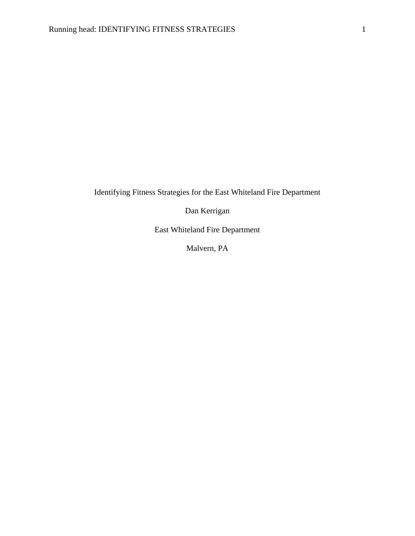Identifying Fitness Strategies for the East Whiteland Fire Department

Dan Kerrigan

East Whiteland Fire Department

Malvern, PA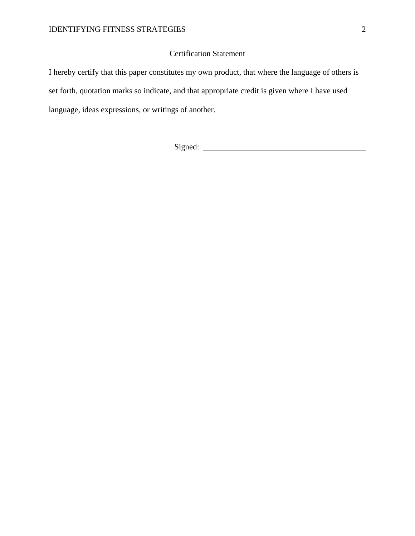## Certification Statement

I hereby certify that this paper constitutes my own product, that where the language of others is set forth, quotation marks so indicate, and that appropriate credit is given where I have used language, ideas expressions, or writings of another.

Signed: \_\_\_\_\_\_\_\_\_\_\_\_\_\_\_\_\_\_\_\_\_\_\_\_\_\_\_\_\_\_\_\_\_\_\_\_\_\_\_\_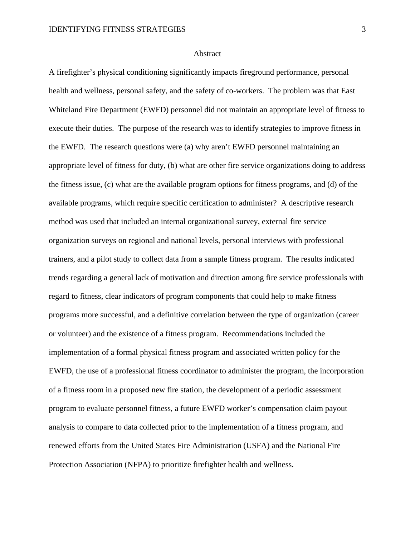## Abstract

A firefighter's physical conditioning significantly impacts fireground performance, personal health and wellness, personal safety, and the safety of co-workers. The problem was that East Whiteland Fire Department (EWFD) personnel did not maintain an appropriate level of fitness to execute their duties. The purpose of the research was to identify strategies to improve fitness in the EWFD. The research questions were (a) why aren't EWFD personnel maintaining an appropriate level of fitness for duty, (b) what are other fire service organizations doing to address the fitness issue, (c) what are the available program options for fitness programs, and (d) of the available programs, which require specific certification to administer? A descriptive research method was used that included an internal organizational survey, external fire service organization surveys on regional and national levels, personal interviews with professional trainers, and a pilot study to collect data from a sample fitness program. The results indicated trends regarding a general lack of motivation and direction among fire service professionals with regard to fitness, clear indicators of program components that could help to make fitness programs more successful, and a definitive correlation between the type of organization (career or volunteer) and the existence of a fitness program. Recommendations included the implementation of a formal physical fitness program and associated written policy for the EWFD, the use of a professional fitness coordinator to administer the program, the incorporation of a fitness room in a proposed new fire station, the development of a periodic assessment program to evaluate personnel fitness, a future EWFD worker's compensation claim payout analysis to compare to data collected prior to the implementation of a fitness program, and renewed efforts from the United States Fire Administration (USFA) and the National Fire Protection Association (NFPA) to prioritize firefighter health and wellness.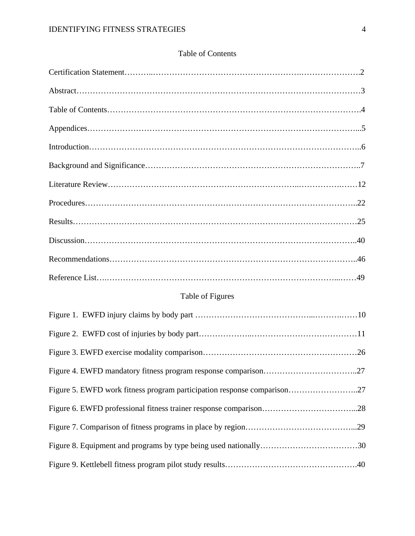| <b>Table of Contents</b> |
|--------------------------|
|--------------------------|

# Table of Figures

| Figure 5. EWFD work fitness program participation response comparison27 |  |
|-------------------------------------------------------------------------|--|
|                                                                         |  |
|                                                                         |  |
|                                                                         |  |
|                                                                         |  |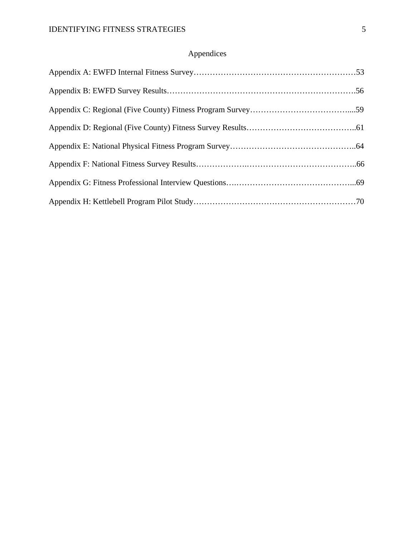## Appendices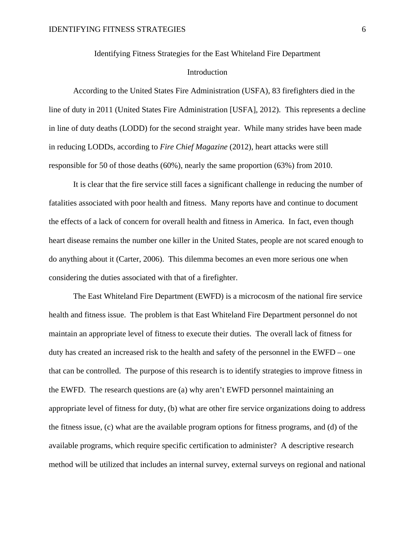Identifying Fitness Strategies for the East Whiteland Fire Department

## Introduction

According to the United States Fire Administration (USFA), 83 firefighters died in the line of duty in 2011 (United States Fire Administration [USFA], 2012). This represents a decline in line of duty deaths (LODD) for the second straight year. While many strides have been made in reducing LODDs, according to *Fire Chief Magazine* (2012), heart attacks were still responsible for 50 of those deaths (60%), nearly the same proportion (63%) from 2010.

It is clear that the fire service still faces a significant challenge in reducing the number of fatalities associated with poor health and fitness. Many reports have and continue to document the effects of a lack of concern for overall health and fitness in America. In fact, even though heart disease remains the number one killer in the United States, people are not scared enough to do anything about it (Carter, 2006). This dilemma becomes an even more serious one when considering the duties associated with that of a firefighter.

The East Whiteland Fire Department (EWFD) is a microcosm of the national fire service health and fitness issue. The problem is that East Whiteland Fire Department personnel do not maintain an appropriate level of fitness to execute their duties. The overall lack of fitness for duty has created an increased risk to the health and safety of the personnel in the EWFD – one that can be controlled. The purpose of this research is to identify strategies to improve fitness in the EWFD. The research questions are (a) why aren't EWFD personnel maintaining an appropriate level of fitness for duty, (b) what are other fire service organizations doing to address the fitness issue, (c) what are the available program options for fitness programs, and (d) of the available programs, which require specific certification to administer? A descriptive research method will be utilized that includes an internal survey, external surveys on regional and national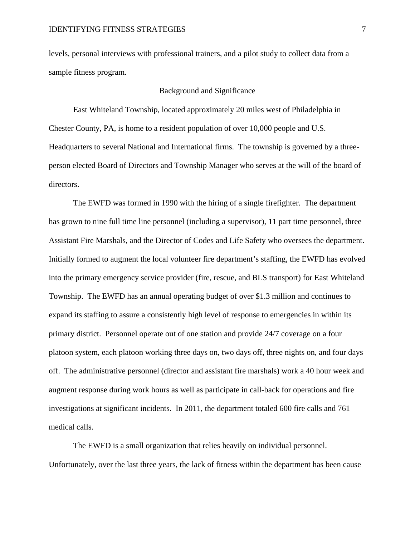levels, personal interviews with professional trainers, and a pilot study to collect data from a sample fitness program.

## Background and Significance

East Whiteland Township, located approximately 20 miles west of Philadelphia in Chester County, PA, is home to a resident population of over 10,000 people and U.S. Headquarters to several National and International firms. The township is governed by a threeperson elected Board of Directors and Township Manager who serves at the will of the board of directors.

The EWFD was formed in 1990 with the hiring of a single firefighter. The department has grown to nine full time line personnel (including a supervisor), 11 part time personnel, three Assistant Fire Marshals, and the Director of Codes and Life Safety who oversees the department. Initially formed to augment the local volunteer fire department's staffing, the EWFD has evolved into the primary emergency service provider (fire, rescue, and BLS transport) for East Whiteland Township. The EWFD has an annual operating budget of over \$1.3 million and continues to expand its staffing to assure a consistently high level of response to emergencies in within its primary district. Personnel operate out of one station and provide 24/7 coverage on a four platoon system, each platoon working three days on, two days off, three nights on, and four days off. The administrative personnel (director and assistant fire marshals) work a 40 hour week and augment response during work hours as well as participate in call-back for operations and fire investigations at significant incidents. In 2011, the department totaled 600 fire calls and 761 medical calls.

The EWFD is a small organization that relies heavily on individual personnel. Unfortunately, over the last three years, the lack of fitness within the department has been cause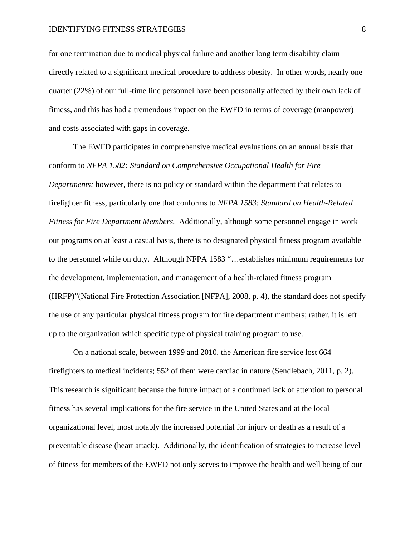for one termination due to medical physical failure and another long term disability claim directly related to a significant medical procedure to address obesity. In other words, nearly one quarter (22%) of our full-time line personnel have been personally affected by their own lack of fitness, and this has had a tremendous impact on the EWFD in terms of coverage (manpower) and costs associated with gaps in coverage.

The EWFD participates in comprehensive medical evaluations on an annual basis that conform to *NFPA 1582: Standard on Comprehensive Occupational Health for Fire Departments;* however, there is no policy or standard within the department that relates to firefighter fitness, particularly one that conforms to *NFPA 1583: Standard on Health-Related Fitness for Fire Department Members.* Additionally, although some personnel engage in work out programs on at least a casual basis, there is no designated physical fitness program available to the personnel while on duty. Although NFPA 1583 "…establishes minimum requirements for the development, implementation, and management of a health-related fitness program (HRFP)"(National Fire Protection Association [NFPA], 2008, p. 4), the standard does not specify the use of any particular physical fitness program for fire department members; rather, it is left up to the organization which specific type of physical training program to use.

On a national scale, between 1999 and 2010, the American fire service lost 664 firefighters to medical incidents; 552 of them were cardiac in nature (Sendlebach, 2011, p. 2). This research is significant because the future impact of a continued lack of attention to personal fitness has several implications for the fire service in the United States and at the local organizational level, most notably the increased potential for injury or death as a result of a preventable disease (heart attack). Additionally, the identification of strategies to increase level of fitness for members of the EWFD not only serves to improve the health and well being of our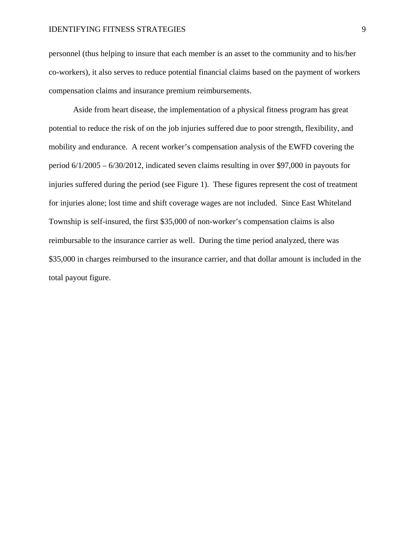personnel (thus helping to insure that each member is an asset to the community and to his/her co-workers), it also serves to reduce potential financial claims based on the payment of workers compensation claims and insurance premium reimbursements.

Aside from heart disease, the implementation of a physical fitness program has great potential to reduce the risk of on the job injuries suffered due to poor strength, flexibility, and mobility and endurance. A recent worker's compensation analysis of the EWFD covering the period 6/1/2005 – 6/30/2012, indicated seven claims resulting in over \$97,000 in payouts for injuries suffered during the period (see Figure 1). These figures represent the cost of treatment for injuries alone; lost time and shift coverage wages are not included. Since East Whiteland Township is self-insured, the first \$35,000 of non-worker's compensation claims is also reimbursable to the insurance carrier as well. During the time period analyzed, there was \$35,000 in charges reimbursed to the insurance carrier, and that dollar amount is included in the total payout figure.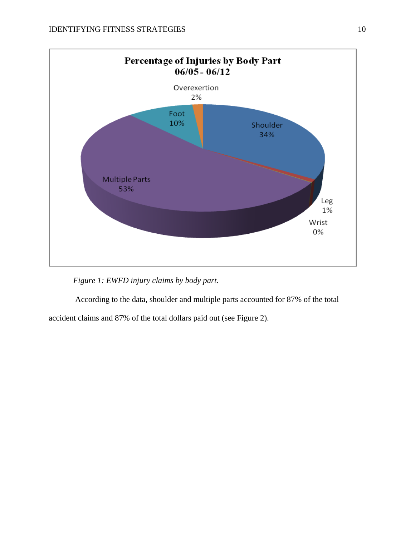

*Figure 1: EWFD injury claims by body part.*

According to the data, shoulder and multiple parts accounted for 87% of the total accident claims and 87% of the total dollars paid out (see Figure 2).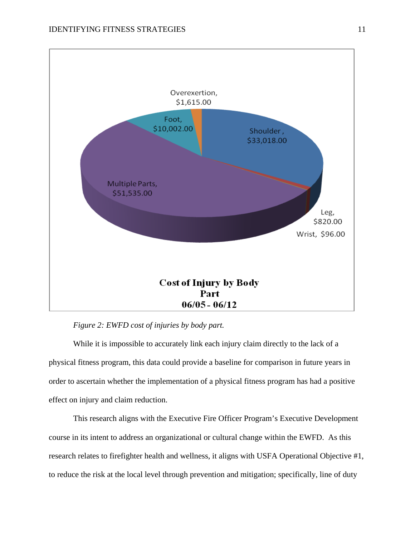

*Figure 2: EWFD cost of injuries by body part.*

While it is impossible to accurately link each injury claim directly to the lack of a physical fitness program, this data could provide a baseline for comparison in future years in order to ascertain whether the implementation of a physical fitness program has had a positive effect on injury and claim reduction.

This research aligns with the Executive Fire Officer Program's Executive Development course in its intent to address an organizational or cultural change within the EWFD. As this research relates to firefighter health and wellness, it aligns with USFA Operational Objective #1, to reduce the risk at the local level through prevention and mitigation; specifically, line of duty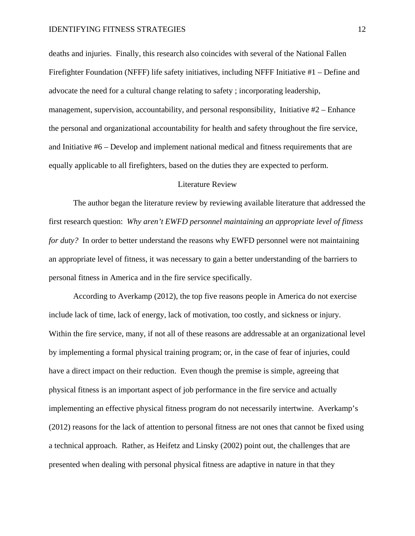deaths and injuries. Finally, this research also coincides with several of the National Fallen Firefighter Foundation (NFFF) life safety initiatives, including NFFF Initiative #1 – Define and advocate the need for a cultural change relating to safety ; incorporating leadership, management, supervision, accountability, and personal responsibility, Initiative #2 – Enhance the personal and organizational accountability for health and safety throughout the fire service, and Initiative #6 – Develop and implement national medical and fitness requirements that are equally applicable to all firefighters, based on the duties they are expected to perform.

## Literature Review

The author began the literature review by reviewing available literature that addressed the first research question: *Why aren't EWFD personnel maintaining an appropriate level of fitness for duty?* In order to better understand the reasons why EWFD personnel were not maintaining an appropriate level of fitness, it was necessary to gain a better understanding of the barriers to personal fitness in America and in the fire service specifically.

According to Averkamp (2012), the top five reasons people in America do not exercise include lack of time, lack of energy, lack of motivation, too costly, and sickness or injury. Within the fire service, many, if not all of these reasons are addressable at an organizational level by implementing a formal physical training program; or, in the case of fear of injuries, could have a direct impact on their reduction. Even though the premise is simple, agreeing that physical fitness is an important aspect of job performance in the fire service and actually implementing an effective physical fitness program do not necessarily intertwine. Averkamp's (2012) reasons for the lack of attention to personal fitness are not ones that cannot be fixed using a technical approach. Rather, as Heifetz and Linsky (2002) point out, the challenges that are presented when dealing with personal physical fitness are adaptive in nature in that they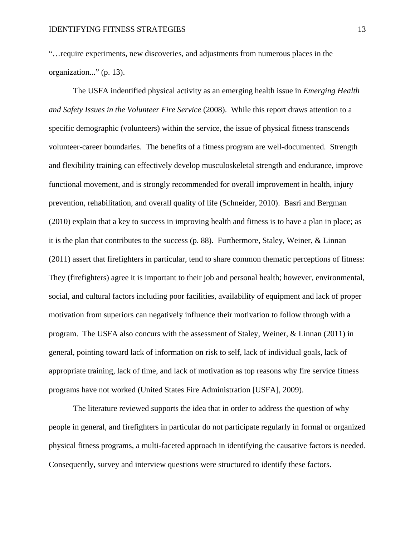"…require experiments, new discoveries, and adjustments from numerous places in the organization..." (p. 13).

The USFA indentified physical activity as an emerging health issue in *Emerging Health and Safety Issues in the Volunteer Fire Service* (2008). While this report draws attention to a specific demographic (volunteers) within the service, the issue of physical fitness transcends volunteer-career boundaries. The benefits of a fitness program are well-documented. Strength and flexibility training can effectively develop musculoskeletal strength and endurance, improve functional movement, and is strongly recommended for overall improvement in health, injury prevention, rehabilitation, and overall quality of life (Schneider, 2010). Basri and Bergman (2010) explain that a key to success in improving health and fitness is to have a plan in place; as it is the plan that contributes to the success (p. 88). Furthermore, Staley, Weiner, & Linnan (2011) assert that firefighters in particular, tend to share common thematic perceptions of fitness: They (firefighters) agree it is important to their job and personal health; however, environmental, social, and cultural factors including poor facilities, availability of equipment and lack of proper motivation from superiors can negatively influence their motivation to follow through with a program. The USFA also concurs with the assessment of Staley, Weiner, & Linnan (2011) in general, pointing toward lack of information on risk to self, lack of individual goals, lack of appropriate training, lack of time, and lack of motivation as top reasons why fire service fitness programs have not worked (United States Fire Administration [USFA], 2009).

The literature reviewed supports the idea that in order to address the question of why people in general, and firefighters in particular do not participate regularly in formal or organized physical fitness programs, a multi-faceted approach in identifying the causative factors is needed. Consequently, survey and interview questions were structured to identify these factors.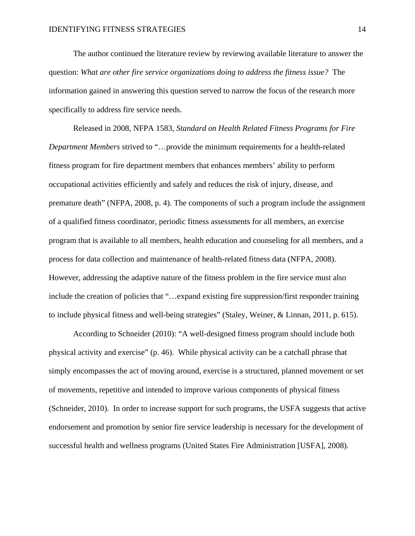The author continued the literature review by reviewing available literature to answer the question: *What are other fire service organizations doing to address the fitness issue?* The information gained in answering this question served to narrow the focus of the research more specifically to address fire service needs.

Released in 2008, NFPA 1583, *Standard on Health Related Fitness Programs for Fire Department Members* strived to "…provide the minimum requirements for a health-related fitness program for fire department members that enhances members' ability to perform occupational activities efficiently and safely and reduces the risk of injury, disease, and premature death" (NFPA, 2008, p. 4). The components of such a program include the assignment of a qualified fitness coordinator, periodic fitness assessments for all members, an exercise program that is available to all members, health education and counseling for all members, and a process for data collection and maintenance of health-related fitness data (NFPA, 2008). However, addressing the adaptive nature of the fitness problem in the fire service must also include the creation of policies that "…expand existing fire suppression/first responder training to include physical fitness and well-being strategies" (Staley, Weiner, & Linnan, 2011, p. 615).

According to Schneider (2010): "A well-designed fitness program should include both physical activity and exercise" (p. 46). While physical activity can be a catchall phrase that simply encompasses the act of moving around, exercise is a structured, planned movement or set of movements, repetitive and intended to improve various components of physical fitness (Schneider, 2010). In order to increase support for such programs, the USFA suggests that active endorsement and promotion by senior fire service leadership is necessary for the development of successful health and wellness programs (United States Fire Administration [USFA], 2008).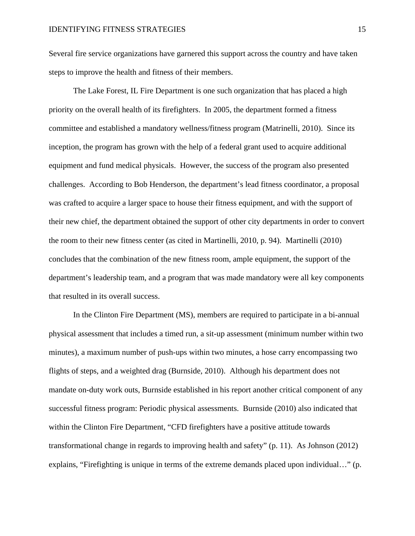Several fire service organizations have garnered this support across the country and have taken steps to improve the health and fitness of their members.

The Lake Forest, IL Fire Department is one such organization that has placed a high priority on the overall health of its firefighters. In 2005, the department formed a fitness committee and established a mandatory wellness/fitness program (Matrinelli, 2010). Since its inception, the program has grown with the help of a federal grant used to acquire additional equipment and fund medical physicals. However, the success of the program also presented challenges. According to Bob Henderson, the department's lead fitness coordinator, a proposal was crafted to acquire a larger space to house their fitness equipment, and with the support of their new chief, the department obtained the support of other city departments in order to convert the room to their new fitness center (as cited in Martinelli, 2010, p. 94). Martinelli (2010) concludes that the combination of the new fitness room, ample equipment, the support of the department's leadership team, and a program that was made mandatory were all key components that resulted in its overall success.

In the Clinton Fire Department (MS), members are required to participate in a bi-annual physical assessment that includes a timed run, a sit-up assessment (minimum number within two minutes), a maximum number of push-ups within two minutes, a hose carry encompassing two flights of steps, and a weighted drag (Burnside, 2010). Although his department does not mandate on-duty work outs, Burnside established in his report another critical component of any successful fitness program: Periodic physical assessments. Burnside (2010) also indicated that within the Clinton Fire Department, "CFD firefighters have a positive attitude towards transformational change in regards to improving health and safety" (p. 11). As Johnson (2012) explains, "Firefighting is unique in terms of the extreme demands placed upon individual…" (p.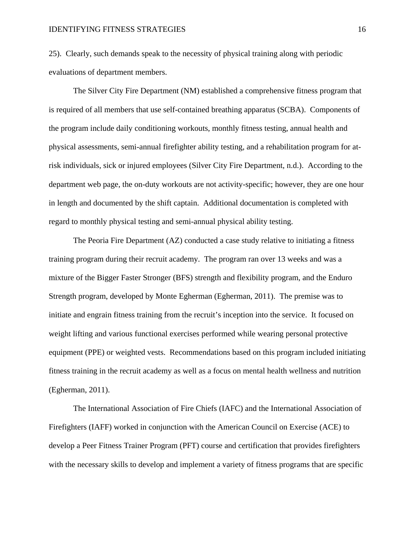25). Clearly, such demands speak to the necessity of physical training along with periodic evaluations of department members.

The Silver City Fire Department (NM) established a comprehensive fitness program that is required of all members that use self-contained breathing apparatus (SCBA). Components of the program include daily conditioning workouts, monthly fitness testing, annual health and physical assessments, semi-annual firefighter ability testing, and a rehabilitation program for atrisk individuals, sick or injured employees (Silver City Fire Department, n.d.). According to the department web page, the on-duty workouts are not activity-specific; however, they are one hour in length and documented by the shift captain. Additional documentation is completed with regard to monthly physical testing and semi-annual physical ability testing.

The Peoria Fire Department (AZ) conducted a case study relative to initiating a fitness training program during their recruit academy. The program ran over 13 weeks and was a mixture of the Bigger Faster Stronger (BFS) strength and flexibility program, and the Enduro Strength program, developed by Monte Egherman (Egherman, 2011). The premise was to initiate and engrain fitness training from the recruit's inception into the service. It focused on weight lifting and various functional exercises performed while wearing personal protective equipment (PPE) or weighted vests. Recommendations based on this program included initiating fitness training in the recruit academy as well as a focus on mental health wellness and nutrition (Egherman, 2011).

The International Association of Fire Chiefs (IAFC) and the International Association of Firefighters (IAFF) worked in conjunction with the American Council on Exercise (ACE) to develop a Peer Fitness Trainer Program (PFT) course and certification that provides firefighters with the necessary skills to develop and implement a variety of fitness programs that are specific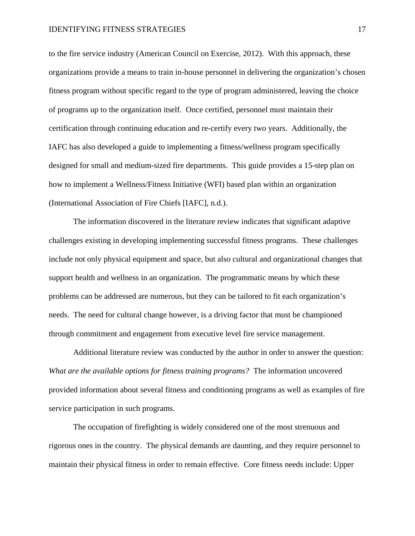to the fire service industry (American Council on Exercise, 2012). With this approach, these organizations provide a means to train in-house personnel in delivering the organization's chosen fitness program without specific regard to the type of program administered, leaving the choice of programs up to the organization itself. Once certified, personnel must maintain their certification through continuing education and re-certify every two years. Additionally, the IAFC has also developed a guide to implementing a fitness/wellness program specifically designed for small and medium-sized fire departments. This guide provides a 15-step plan on how to implement a Wellness/Fitness Initiative (WFI) based plan within an organization (International Association of Fire Chiefs [IAFC], n.d.).

The information discovered in the literature review indicates that significant adaptive challenges existing in developing implementing successful fitness programs. These challenges include not only physical equipment and space, but also cultural and organizational changes that support health and wellness in an organization. The programmatic means by which these problems can be addressed are numerous, but they can be tailored to fit each organization's needs. The need for cultural change however, is a driving factor that must be championed through commitment and engagement from executive level fire service management.

Additional literature review was conducted by the author in order to answer the question: *What are the available options for fitness training programs?* The information uncovered provided information about several fitness and conditioning programs as well as examples of fire service participation in such programs.

The occupation of firefighting is widely considered one of the most strenuous and rigorous ones in the country. The physical demands are daunting, and they require personnel to maintain their physical fitness in order to remain effective. Core fitness needs include: Upper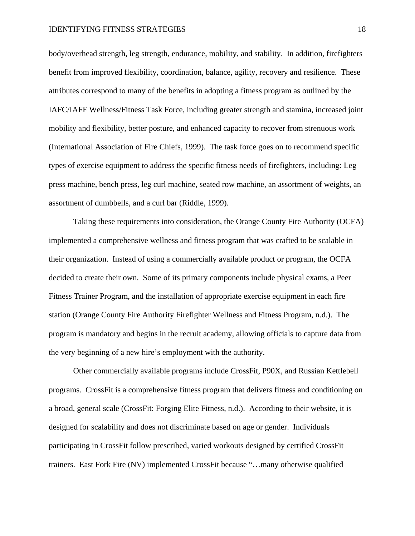body/overhead strength, leg strength, endurance, mobility, and stability. In addition, firefighters benefit from improved flexibility, coordination, balance, agility, recovery and resilience. These attributes correspond to many of the benefits in adopting a fitness program as outlined by the IAFC/IAFF Wellness/Fitness Task Force, including greater strength and stamina, increased joint mobility and flexibility, better posture, and enhanced capacity to recover from strenuous work (International Association of Fire Chiefs, 1999). The task force goes on to recommend specific types of exercise equipment to address the specific fitness needs of firefighters, including: Leg press machine, bench press, leg curl machine, seated row machine, an assortment of weights, an assortment of dumbbells, and a curl bar (Riddle, 1999).

Taking these requirements into consideration, the Orange County Fire Authority (OCFA) implemented a comprehensive wellness and fitness program that was crafted to be scalable in their organization. Instead of using a commercially available product or program, the OCFA decided to create their own. Some of its primary components include physical exams, a Peer Fitness Trainer Program, and the installation of appropriate exercise equipment in each fire station (Orange County Fire Authority Firefighter Wellness and Fitness Program, n.d.). The program is mandatory and begins in the recruit academy, allowing officials to capture data from the very beginning of a new hire's employment with the authority.

Other commercially available programs include CrossFit, P90X, and Russian Kettlebell programs. CrossFit is a comprehensive fitness program that delivers fitness and conditioning on a broad, general scale (CrossFit: Forging Elite Fitness, n.d.). According to their website, it is designed for scalability and does not discriminate based on age or gender. Individuals participating in CrossFit follow prescribed, varied workouts designed by certified CrossFit trainers. East Fork Fire (NV) implemented CrossFit because "…many otherwise qualified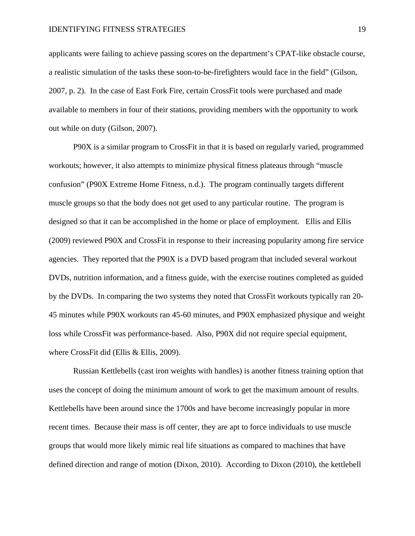applicants were failing to achieve passing scores on the department's CPAT-like obstacle course, a realistic simulation of the tasks these soon-to-be-firefighters would face in the field" (Gilson, 2007, p. 2). In the case of East Fork Fire, certain CrossFit tools were purchased and made available to members in four of their stations, providing members with the opportunity to work out while on duty (Gilson, 2007).

P90X is a similar program to CrossFit in that it is based on regularly varied, programmed workouts; however, it also attempts to minimize physical fitness plateaus through "muscle confusion" (P90X Extreme Home Fitness, n.d.). The program continually targets different muscle groups so that the body does not get used to any particular routine. The program is designed so that it can be accomplished in the home or place of employment. Ellis and Ellis (2009) reviewed P90X and CrossFit in response to their increasing popularity among fire service agencies. They reported that the P90X is a DVD based program that included several workout DVDs, nutrition information, and a fitness guide, with the exercise routines completed as guided by the DVDs. In comparing the two systems they noted that CrossFit workouts typically ran 20- 45 minutes while P90X workouts ran 45-60 minutes, and P90X emphasized physique and weight loss while CrossFit was performance-based. Also, P90X did not require special equipment, where CrossFit did (Ellis & Ellis, 2009).

Russian Kettlebells (cast iron weights with handles) is another fitness training option that uses the concept of doing the minimum amount of work to get the maximum amount of results. Kettlebells have been around since the 1700s and have become increasingly popular in more recent times. Because their mass is off center, they are apt to force individuals to use muscle groups that would more likely mimic real life situations as compared to machines that have defined direction and range of motion (Dixon, 2010). According to Dixon (2010), the kettlebell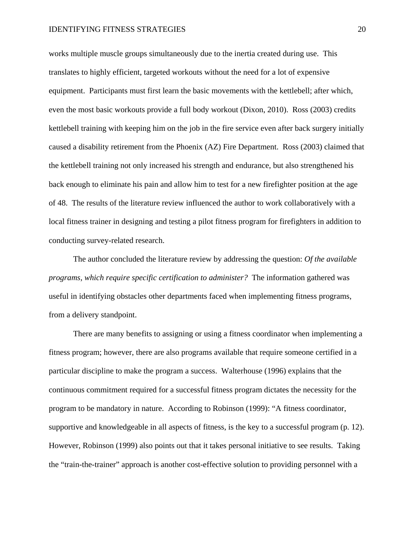works multiple muscle groups simultaneously due to the inertia created during use. This translates to highly efficient, targeted workouts without the need for a lot of expensive equipment. Participants must first learn the basic movements with the kettlebell; after which, even the most basic workouts provide a full body workout (Dixon, 2010). Ross (2003) credits kettlebell training with keeping him on the job in the fire service even after back surgery initially caused a disability retirement from the Phoenix (AZ) Fire Department. Ross (2003) claimed that the kettlebell training not only increased his strength and endurance, but also strengthened his back enough to eliminate his pain and allow him to test for a new firefighter position at the age of 48. The results of the literature review influenced the author to work collaboratively with a local fitness trainer in designing and testing a pilot fitness program for firefighters in addition to conducting survey-related research.

The author concluded the literature review by addressing the question: *Of the available programs, which require specific certification to administer?* The information gathered was useful in identifying obstacles other departments faced when implementing fitness programs, from a delivery standpoint.

There are many benefits to assigning or using a fitness coordinator when implementing a fitness program; however, there are also programs available that require someone certified in a particular discipline to make the program a success. Walterhouse (1996) explains that the continuous commitment required for a successful fitness program dictates the necessity for the program to be mandatory in nature. According to Robinson (1999): "A fitness coordinator, supportive and knowledgeable in all aspects of fitness, is the key to a successful program (p. 12). However, Robinson (1999) also points out that it takes personal initiative to see results. Taking the "train-the-trainer" approach is another cost-effective solution to providing personnel with a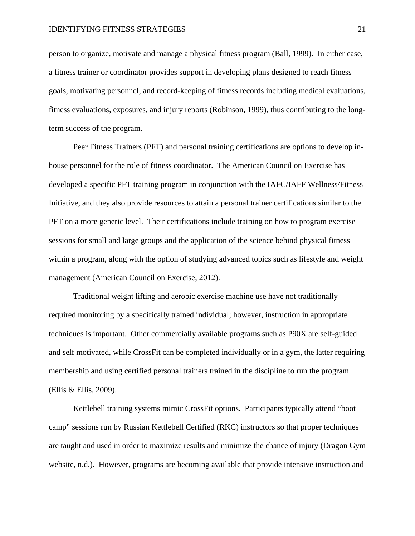person to organize, motivate and manage a physical fitness program (Ball, 1999). In either case, a fitness trainer or coordinator provides support in developing plans designed to reach fitness goals, motivating personnel, and record-keeping of fitness records including medical evaluations, fitness evaluations, exposures, and injury reports (Robinson, 1999), thus contributing to the longterm success of the program.

Peer Fitness Trainers (PFT) and personal training certifications are options to develop inhouse personnel for the role of fitness coordinator. The American Council on Exercise has developed a specific PFT training program in conjunction with the IAFC/IAFF Wellness/Fitness Initiative, and they also provide resources to attain a personal trainer certifications similar to the PFT on a more generic level. Their certifications include training on how to program exercise sessions for small and large groups and the application of the science behind physical fitness within a program, along with the option of studying advanced topics such as lifestyle and weight management (American Council on Exercise, 2012).

Traditional weight lifting and aerobic exercise machine use have not traditionally required monitoring by a specifically trained individual; however, instruction in appropriate techniques is important. Other commercially available programs such as P90X are self-guided and self motivated, while CrossFit can be completed individually or in a gym, the latter requiring membership and using certified personal trainers trained in the discipline to run the program (Ellis & Ellis, 2009).

Kettlebell training systems mimic CrossFit options. Participants typically attend "boot camp" sessions run by Russian Kettlebell Certified (RKC) instructors so that proper techniques are taught and used in order to maximize results and minimize the chance of injury (Dragon Gym website, n.d.). However, programs are becoming available that provide intensive instruction and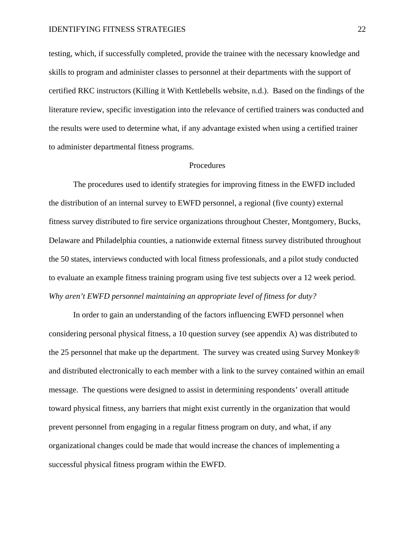testing, which, if successfully completed, provide the trainee with the necessary knowledge and skills to program and administer classes to personnel at their departments with the support of certified RKC instructors (Killing it With Kettlebells website, n.d.). Based on the findings of the literature review, specific investigation into the relevance of certified trainers was conducted and the results were used to determine what, if any advantage existed when using a certified trainer to administer departmental fitness programs.

### Procedures

The procedures used to identify strategies for improving fitness in the EWFD included the distribution of an internal survey to EWFD personnel, a regional (five county) external fitness survey distributed to fire service organizations throughout Chester, Montgomery, Bucks, Delaware and Philadelphia counties, a nationwide external fitness survey distributed throughout the 50 states, interviews conducted with local fitness professionals, and a pilot study conducted to evaluate an example fitness training program using five test subjects over a 12 week period. *Why aren't EWFD personnel maintaining an appropriate level of fitness for duty?*

In order to gain an understanding of the factors influencing EWFD personnel when considering personal physical fitness, a 10 question survey (see appendix A) was distributed to the 25 personnel that make up the department. The survey was created using Survey Monkey® and distributed electronically to each member with a link to the survey contained within an email message. The questions were designed to assist in determining respondents' overall attitude toward physical fitness, any barriers that might exist currently in the organization that would prevent personnel from engaging in a regular fitness program on duty, and what, if any organizational changes could be made that would increase the chances of implementing a successful physical fitness program within the EWFD.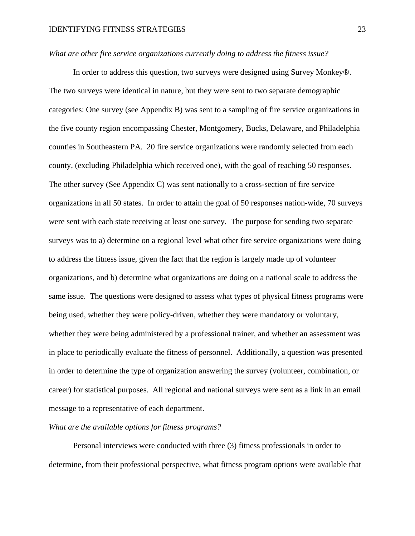## *What are other fire service organizations currently doing to address the fitness issue?*

In order to address this question, two surveys were designed using Survey Monkey®. The two surveys were identical in nature, but they were sent to two separate demographic categories: One survey (see Appendix B) was sent to a sampling of fire service organizations in the five county region encompassing Chester, Montgomery, Bucks, Delaware, and Philadelphia counties in Southeastern PA. 20 fire service organizations were randomly selected from each county, (excluding Philadelphia which received one), with the goal of reaching 50 responses. The other survey (See Appendix C) was sent nationally to a cross-section of fire service organizations in all 50 states. In order to attain the goal of 50 responses nation-wide, 70 surveys were sent with each state receiving at least one survey. The purpose for sending two separate surveys was to a) determine on a regional level what other fire service organizations were doing to address the fitness issue, given the fact that the region is largely made up of volunteer organizations, and b) determine what organizations are doing on a national scale to address the same issue. The questions were designed to assess what types of physical fitness programs were being used, whether they were policy-driven, whether they were mandatory or voluntary, whether they were being administered by a professional trainer, and whether an assessment was in place to periodically evaluate the fitness of personnel. Additionally, a question was presented in order to determine the type of organization answering the survey (volunteer, combination, or career) for statistical purposes. All regional and national surveys were sent as a link in an email message to a representative of each department.

## *What are the available options for fitness programs?*

Personal interviews were conducted with three (3) fitness professionals in order to determine, from their professional perspective, what fitness program options were available that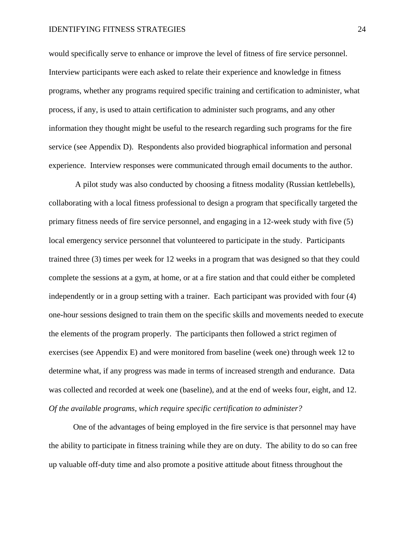would specifically serve to enhance or improve the level of fitness of fire service personnel. Interview participants were each asked to relate their experience and knowledge in fitness programs, whether any programs required specific training and certification to administer, what process, if any, is used to attain certification to administer such programs, and any other information they thought might be useful to the research regarding such programs for the fire service (see Appendix D). Respondents also provided biographical information and personal experience. Interview responses were communicated through email documents to the author.

A pilot study was also conducted by choosing a fitness modality (Russian kettlebells), collaborating with a local fitness professional to design a program that specifically targeted the primary fitness needs of fire service personnel, and engaging in a 12-week study with five (5) local emergency service personnel that volunteered to participate in the study. Participants trained three (3) times per week for 12 weeks in a program that was designed so that they could complete the sessions at a gym, at home, or at a fire station and that could either be completed independently or in a group setting with a trainer. Each participant was provided with four (4) one-hour sessions designed to train them on the specific skills and movements needed to execute the elements of the program properly. The participants then followed a strict regimen of exercises (see Appendix E) and were monitored from baseline (week one) through week 12 to determine what, if any progress was made in terms of increased strength and endurance. Data was collected and recorded at week one (baseline), and at the end of weeks four, eight, and 12. *Of the available programs, which require specific certification to administer?*

One of the advantages of being employed in the fire service is that personnel may have the ability to participate in fitness training while they are on duty. The ability to do so can free up valuable off-duty time and also promote a positive attitude about fitness throughout the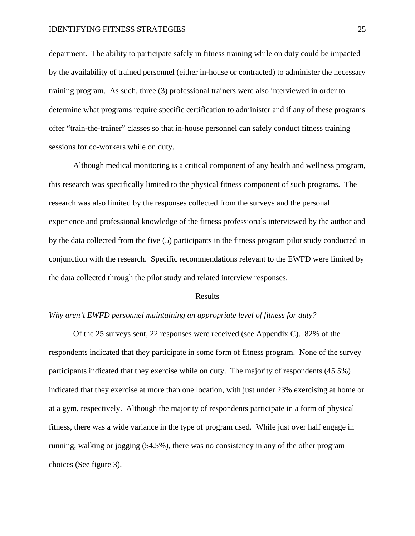department. The ability to participate safely in fitness training while on duty could be impacted by the availability of trained personnel (either in-house or contracted) to administer the necessary training program. As such, three (3) professional trainers were also interviewed in order to determine what programs require specific certification to administer and if any of these programs offer "train-the-trainer" classes so that in-house personnel can safely conduct fitness training sessions for co-workers while on duty.

Although medical monitoring is a critical component of any health and wellness program, this research was specifically limited to the physical fitness component of such programs. The research was also limited by the responses collected from the surveys and the personal experience and professional knowledge of the fitness professionals interviewed by the author and by the data collected from the five (5) participants in the fitness program pilot study conducted in conjunction with the research. Specific recommendations relevant to the EWFD were limited by the data collected through the pilot study and related interview responses.

#### Results

## *Why aren't EWFD personnel maintaining an appropriate level of fitness for duty?*

Of the 25 surveys sent, 22 responses were received (see Appendix C). 82% of the respondents indicated that they participate in some form of fitness program. None of the survey participants indicated that they exercise while on duty. The majority of respondents (45.5%) indicated that they exercise at more than one location, with just under 23% exercising at home or at a gym, respectively. Although the majority of respondents participate in a form of physical fitness, there was a wide variance in the type of program used. While just over half engage in running, walking or jogging (54.5%), there was no consistency in any of the other program choices (See figure 3).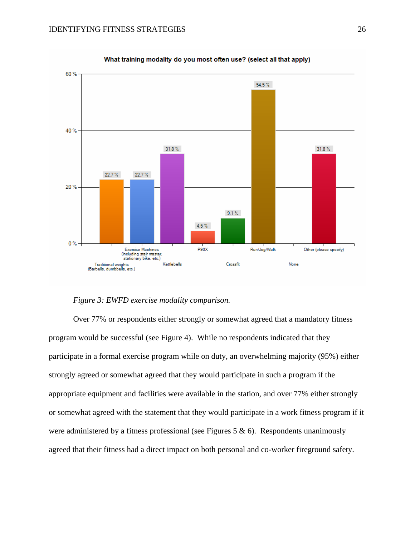

What training modality do you most often use? (select all that apply)

*Figure 3: EWFD exercise modality comparison.*

Over 77% or respondents either strongly or somewhat agreed that a mandatory fitness program would be successful (see Figure 4). While no respondents indicated that they participate in a formal exercise program while on duty, an overwhelming majority (95%) either strongly agreed or somewhat agreed that they would participate in such a program if the appropriate equipment and facilities were available in the station, and over 77% either strongly or somewhat agreed with the statement that they would participate in a work fitness program if it were administered by a fitness professional (see Figures 5  $\&$  6). Respondents unanimously agreed that their fitness had a direct impact on both personal and co-worker fireground safety.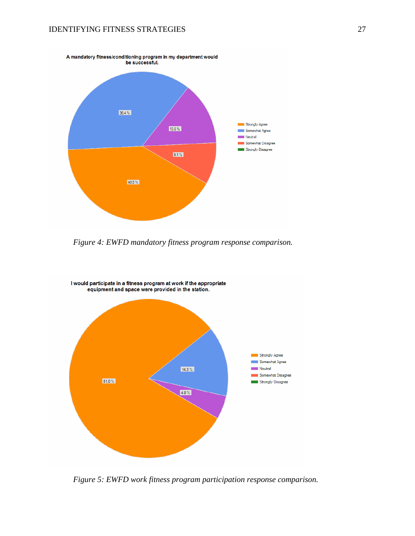

*Figure 4: EWFD mandatory fitness program response comparison.*



*Figure 5: EWFD work fitness program participation response comparison.*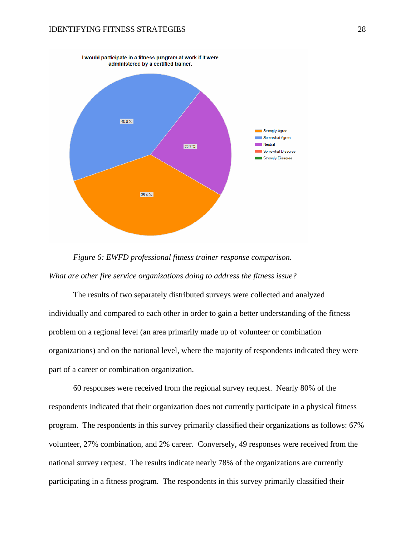



The results of two separately distributed surveys were collected and analyzed individually and compared to each other in order to gain a better understanding of the fitness problem on a regional level (an area primarily made up of volunteer or combination organizations) and on the national level, where the majority of respondents indicated they were part of a career or combination organization.

60 responses were received from the regional survey request. Nearly 80% of the respondents indicated that their organization does not currently participate in a physical fitness program. The respondents in this survey primarily classified their organizations as follows: 67% volunteer, 27% combination, and 2% career. Conversely, 49 responses were received from the national survey request. The results indicate nearly 78% of the organizations are currently participating in a fitness program. The respondents in this survey primarily classified their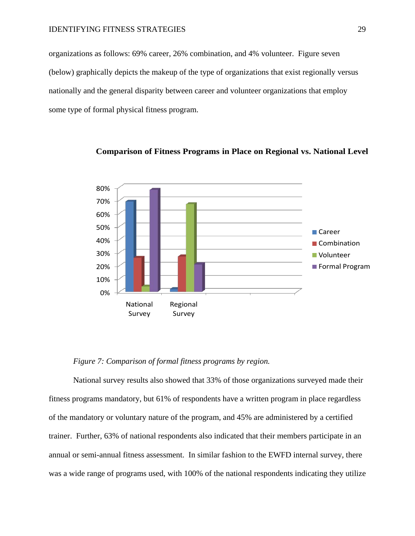organizations as follows: 69% career, 26% combination, and 4% volunteer. Figure seven (below) graphically depicts the makeup of the type of organizations that exist regionally versus nationally and the general disparity between career and volunteer organizations that employ some type of formal physical fitness program.



**Comparison of Fitness Programs in Place on Regional vs. National Level**

*Figure 7: Comparison of formal fitness programs by region.*

National survey results also showed that 33% of those organizations surveyed made their fitness programs mandatory, but 61% of respondents have a written program in place regardless of the mandatory or voluntary nature of the program, and 45% are administered by a certified trainer. Further, 63% of national respondents also indicated that their members participate in an annual or semi-annual fitness assessment. In similar fashion to the EWFD internal survey, there was a wide range of programs used, with 100% of the national respondents indicating they utilize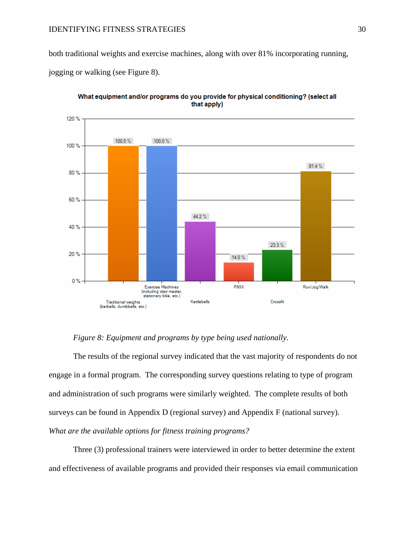both traditional weights and exercise machines, along with over 81% incorporating running,

jogging or walking (see Figure 8).



What equipment and/or programs do you provide for physical conditioning? (select all that apply)

## *Figure 8: Equipment and programs by type being used nationally.*

The results of the regional survey indicated that the vast majority of respondents do not engage in a formal program. The corresponding survey questions relating to type of program and administration of such programs were similarly weighted. The complete results of both surveys can be found in Appendix D (regional survey) and Appendix F (national survey). *What are the available options for fitness training programs?*

Three (3) professional trainers were interviewed in order to better determine the extent and effectiveness of available programs and provided their responses via email communication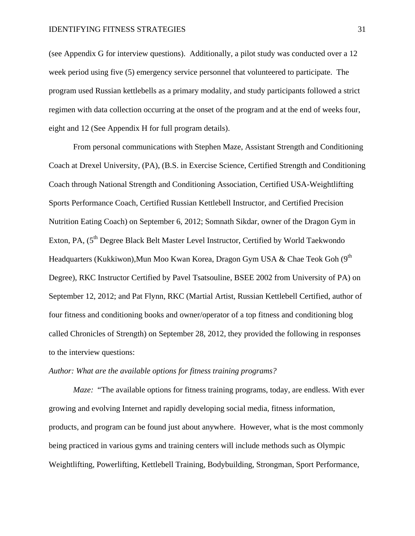(see Appendix G for interview questions). Additionally, a pilot study was conducted over a 12 week period using five (5) emergency service personnel that volunteered to participate. The program used Russian kettlebells as a primary modality, and study participants followed a strict regimen with data collection occurring at the onset of the program and at the end of weeks four, eight and 12 (See Appendix H for full program details).

From personal communications with Stephen Maze, Assistant Strength and Conditioning Coach at Drexel University, (PA), (B.S. in Exercise Science, Certified Strength and Conditioning Coach through National Strength and Conditioning Association, Certified USA-Weightlifting Sports Performance Coach, Certified Russian Kettlebell Instructor, and Certified Precision Nutrition Eating Coach) on September 6, 2012; Somnath Sikdar, owner of the Dragon Gym in Exton, PA, (5<sup>th</sup> Degree Black Belt Master Level Instructor, Certified by World Taekwondo Headquarters (Kukkiwon), Mun Moo Kwan Korea, Dragon Gym USA & Chae Teok Goh (9<sup>th</sup> Degree), RKC Instructor Certified by Pavel Tsatsouline, BSEE 2002 from University of PA) on September 12, 2012; and Pat Flynn, RKC (Martial Artist, Russian Kettlebell Certified, author of four fitness and conditioning books and owner/operator of a top fitness and conditioning blog called Chronicles of Strength) on September 28, 2012, they provided the following in responses to the interview questions:

## *Author: What are the available options for fitness training programs?*

*Maze:* "The available options for fitness training programs, today, are endless. With ever growing and evolving Internet and rapidly developing social media, fitness information, products, and program can be found just about anywhere. However, what is the most commonly being practiced in various gyms and training centers will include methods such as Olympic Weightlifting, Powerlifting, Kettlebell Training, Bodybuilding, Strongman, Sport Performance,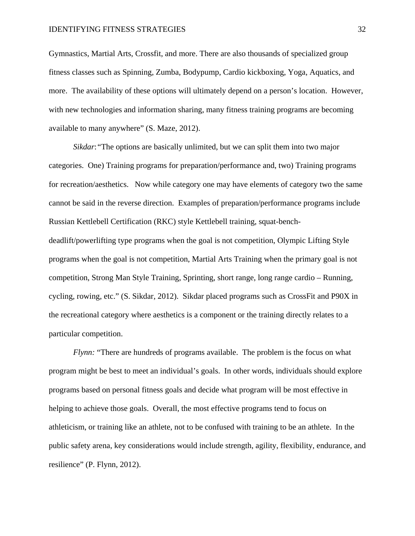Gymnastics, Martial Arts, Crossfit, and more. There are also thousands of specialized group fitness classes such as Spinning, Zumba, Bodypump, Cardio kickboxing, Yoga, Aquatics, and more. The availability of these options will ultimately depend on a person's location. However, with new technologies and information sharing, many fitness training programs are becoming available to many anywhere" (S. Maze, 2012).

*Sikdar*:"The options are basically unlimited, but we can split them into two major categories. One) Training programs for preparation/performance and, two) Training programs for recreation/aesthetics. Now while category one may have elements of category two the same cannot be said in the reverse direction. Examples of preparation/performance programs include Russian Kettlebell Certification (RKC) style Kettlebell training, squat-benchdeadlift/powerlifting type programs when the goal is not competition, Olympic Lifting Style programs when the goal is not competition, Martial Arts Training when the primary goal is not competition, Strong Man Style Training, Sprinting, short range, long range cardio – Running, cycling, rowing, etc." (S. Sikdar, 2012). Sikdar placed programs such as CrossFit and P90X in the recreational category where aesthetics is a component or the training directly relates to a particular competition.

*Flynn:* "There are hundreds of programs available. The problem is the focus on what program might be best to meet an individual's goals. In other words, individuals should explore programs based on personal fitness goals and decide what program will be most effective in helping to achieve those goals. Overall, the most effective programs tend to focus on athleticism, or training like an athlete, not to be confused with training to be an athlete. In the public safety arena, key considerations would include strength, agility, flexibility, endurance, and resilience" (P. Flynn, 2012).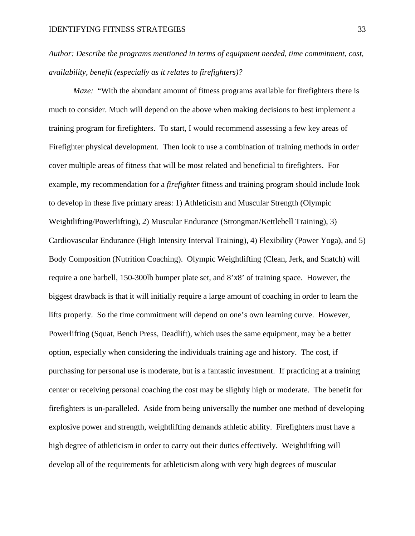*Author: Describe the programs mentioned in terms of equipment needed, time commitment, cost, availability, benefit (especially as it relates to firefighters)?*

*Maze:* "With the abundant amount of fitness programs available for firefighters there is much to consider. Much will depend on the above when making decisions to best implement a training program for firefighters. To start, I would recommend assessing a few key areas of Firefighter physical development. Then look to use a combination of training methods in order cover multiple areas of fitness that will be most related and beneficial to firefighters. For example, my recommendation for a *firefighter* fitness and training program should include look to develop in these five primary areas: 1) Athleticism and Muscular Strength (Olympic Weightlifting/Powerlifting), 2) Muscular Endurance (Strongman/Kettlebell Training), 3) Cardiovascular Endurance (High Intensity Interval Training), 4) Flexibility (Power Yoga), and 5) Body Composition (Nutrition Coaching). Olympic Weightlifting (Clean, Jerk, and Snatch) will require a one barbell, 150-300lb bumper plate set, and 8'x8' of training space. However, the biggest drawback is that it will initially require a large amount of coaching in order to learn the lifts properly. So the time commitment will depend on one's own learning curve. However, Powerlifting (Squat, Bench Press, Deadlift), which uses the same equipment, may be a better option, especially when considering the individuals training age and history. The cost, if purchasing for personal use is moderate, but is a fantastic investment. If practicing at a training center or receiving personal coaching the cost may be slightly high or moderate. The benefit for firefighters is un-paralleled. Aside from being universally the number one method of developing explosive power and strength, weightlifting demands athletic ability. Firefighters must have a high degree of athleticism in order to carry out their duties effectively. Weightlifting will develop all of the requirements for athleticism along with very high degrees of muscular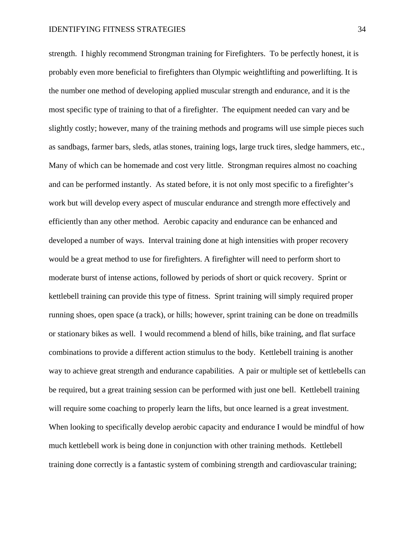strength. I highly recommend Strongman training for Firefighters. To be perfectly honest, it is probably even more beneficial to firefighters than Olympic weightlifting and powerlifting. It is the number one method of developing applied muscular strength and endurance, and it is the most specific type of training to that of a firefighter. The equipment needed can vary and be slightly costly; however, many of the training methods and programs will use simple pieces such as sandbags, farmer bars, sleds, atlas stones, training logs, large truck tires, sledge hammers, etc., Many of which can be homemade and cost very little. Strongman requires almost no coaching and can be performed instantly. As stated before, it is not only most specific to a firefighter's work but will develop every aspect of muscular endurance and strength more effectively and efficiently than any other method. Aerobic capacity and endurance can be enhanced and developed a number of ways. Interval training done at high intensities with proper recovery would be a great method to use for firefighters. A firefighter will need to perform short to moderate burst of intense actions, followed by periods of short or quick recovery. Sprint or kettlebell training can provide this type of fitness. Sprint training will simply required proper running shoes, open space (a track), or hills; however, sprint training can be done on treadmills or stationary bikes as well. I would recommend a blend of hills, bike training, and flat surface combinations to provide a different action stimulus to the body. Kettlebell training is another way to achieve great strength and endurance capabilities. A pair or multiple set of kettlebells can be required, but a great training session can be performed with just one bell. Kettlebell training will require some coaching to properly learn the lifts, but once learned is a great investment. When looking to specifically develop aerobic capacity and endurance I would be mindful of how much kettlebell work is being done in conjunction with other training methods. Kettlebell training done correctly is a fantastic system of combining strength and cardiovascular training;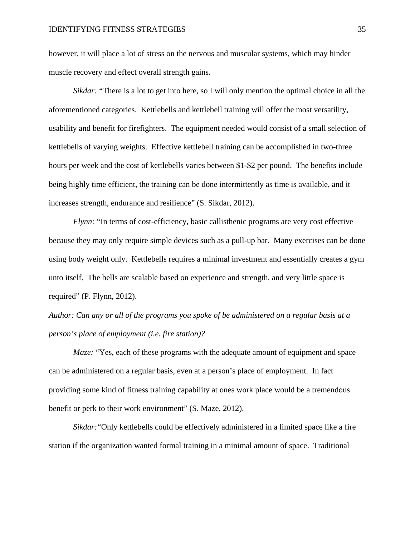however, it will place a lot of stress on the nervous and muscular systems, which may hinder muscle recovery and effect overall strength gains.

*Sikdar:* "There is a lot to get into here, so I will only mention the optimal choice in all the aforementioned categories. Kettlebells and kettlebell training will offer the most versatility, usability and benefit for firefighters. The equipment needed would consist of a small selection of kettlebells of varying weights. Effective kettlebell training can be accomplished in two-three hours per week and the cost of kettlebells varies between \$1-\$2 per pound. The benefits include being highly time efficient, the training can be done intermittently as time is available, and it increases strength, endurance and resilience" (S. Sikdar, 2012).

*Flynn:* "In terms of cost-efficiency, basic callisthenic programs are very cost effective because they may only require simple devices such as a pull-up bar. Many exercises can be done using body weight only. Kettlebells requires a minimal investment and essentially creates a gym unto itself. The bells are scalable based on experience and strength, and very little space is required" (P. Flynn, 2012).

*Author: Can any or all of the programs you spoke of be administered on a regular basis at a person's place of employment (i.e. fire station)?* 

*Maze:* "Yes, each of these programs with the adequate amount of equipment and space can be administered on a regular basis, even at a person's place of employment. In fact providing some kind of fitness training capability at ones work place would be a tremendous benefit or perk to their work environment" (S. Maze, 2012).

*Sikdar:*"Only kettlebells could be effectively administered in a limited space like a fire station if the organization wanted formal training in a minimal amount of space. Traditional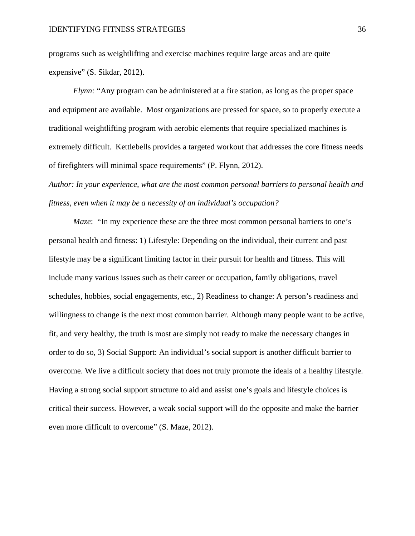programs such as weightlifting and exercise machines require large areas and are quite expensive" (S. Sikdar, 2012).

*Flynn:* "Any program can be administered at a fire station, as long as the proper space and equipment are available. Most organizations are pressed for space, so to properly execute a traditional weightlifting program with aerobic elements that require specialized machines is extremely difficult. Kettlebells provides a targeted workout that addresses the core fitness needs of firefighters will minimal space requirements" (P. Flynn, 2012).

*Author: In your experience, what are the most common personal barriers to personal health and fitness, even when it may be a necessity of an individual's occupation?*

*Maze*: "In my experience these are the three most common personal barriers to one's personal health and fitness: 1) Lifestyle: Depending on the individual, their current and past lifestyle may be a significant limiting factor in their pursuit for health and fitness. This will include many various issues such as their career or occupation, family obligations, travel schedules, hobbies, social engagements, etc., 2) Readiness to change: A person's readiness and willingness to change is the next most common barrier. Although many people want to be active, fit, and very healthy, the truth is most are simply not ready to make the necessary changes in order to do so, 3) Social Support: An individual's social support is another difficult barrier to overcome. We live a difficult society that does not truly promote the ideals of a healthy lifestyle. Having a strong social support structure to aid and assist one's goals and lifestyle choices is critical their success. However, a weak social support will do the opposite and make the barrier even more difficult to overcome" (S. Maze, 2012).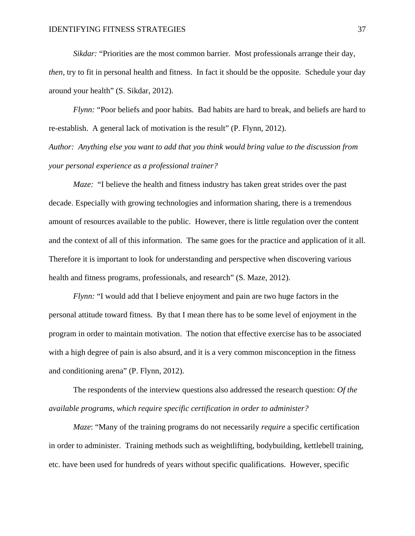*Sikdar:* "Priorities are the most common barrier. Most professionals arrange their day, *then,* try to fit in personal health and fitness. In fact it should be the opposite. Schedule your day around your health" (S. Sikdar, 2012).

*Flynn:* "Poor beliefs and poor habits. Bad habits are hard to break, and beliefs are hard to re-establish. A general lack of motivation is the result" (P. Flynn, 2012).

*Author: Anything else you want to add that you think would bring value to the discussion from your personal experience as a professional trainer?* 

*Maze:* "I believe the health and fitness industry has taken great strides over the past decade. Especially with growing technologies and information sharing, there is a tremendous amount of resources available to the public. However, there is little regulation over the content and the context of all of this information. The same goes for the practice and application of it all. Therefore it is important to look for understanding and perspective when discovering various health and fitness programs, professionals, and research" (S. Maze, 2012).

*Flynn:* "I would add that I believe enjoyment and pain are two huge factors in the personal attitude toward fitness. By that I mean there has to be some level of enjoyment in the program in order to maintain motivation. The notion that effective exercise has to be associated with a high degree of pain is also absurd, and it is a very common misconception in the fitness and conditioning arena" (P. Flynn, 2012).

The respondents of the interview questions also addressed the research question: *Of the available programs, which require specific certification in order to administer?*

*Maze*: "Many of the training programs do not necessarily *require* a specific certification in order to administer. Training methods such as weightlifting, bodybuilding, kettlebell training, etc. have been used for hundreds of years without specific qualifications. However, specific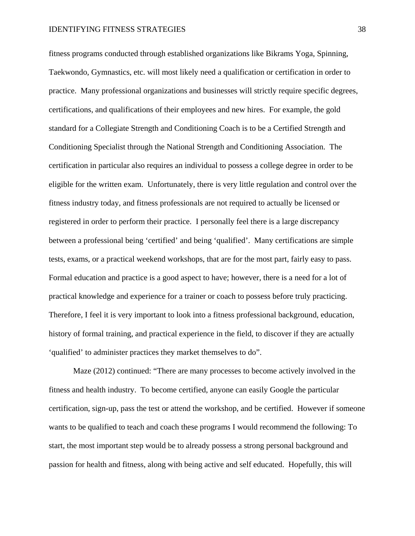fitness programs conducted through established organizations like Bikrams Yoga, Spinning, Taekwondo, Gymnastics, etc. will most likely need a qualification or certification in order to practice. Many professional organizations and businesses will strictly require specific degrees, certifications, and qualifications of their employees and new hires. For example, the gold standard for a Collegiate Strength and Conditioning Coach is to be a Certified Strength and Conditioning Specialist through the National Strength and Conditioning Association. The certification in particular also requires an individual to possess a college degree in order to be eligible for the written exam. Unfortunately, there is very little regulation and control over the fitness industry today, and fitness professionals are not required to actually be licensed or registered in order to perform their practice. I personally feel there is a large discrepancy between a professional being 'certified' and being 'qualified'. Many certifications are simple tests, exams, or a practical weekend workshops, that are for the most part, fairly easy to pass. Formal education and practice is a good aspect to have; however, there is a need for a lot of practical knowledge and experience for a trainer or coach to possess before truly practicing. Therefore, I feel it is very important to look into a fitness professional background, education, history of formal training, and practical experience in the field, to discover if they are actually 'qualified' to administer practices they market themselves to do".

Maze (2012) continued: "There are many processes to become actively involved in the fitness and health industry. To become certified, anyone can easily Google the particular certification, sign-up, pass the test or attend the workshop, and be certified. However if someone wants to be qualified to teach and coach these programs I would recommend the following: To start, the most important step would be to already possess a strong personal background and passion for health and fitness, along with being active and self educated. Hopefully, this will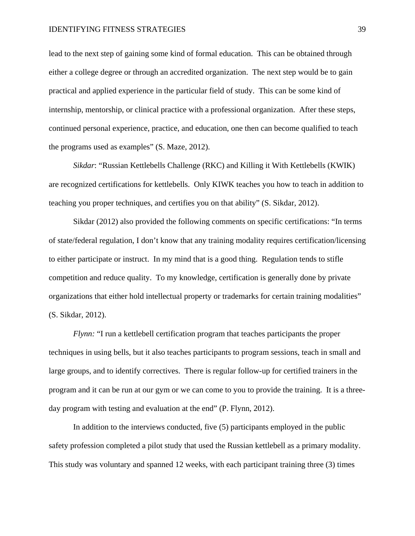lead to the next step of gaining some kind of formal education. This can be obtained through either a college degree or through an accredited organization. The next step would be to gain practical and applied experience in the particular field of study. This can be some kind of internship, mentorship, or clinical practice with a professional organization. After these steps, continued personal experience, practice, and education, one then can become qualified to teach the programs used as examples" (S. Maze, 2012).

*Sikdar*: "Russian Kettlebells Challenge (RKC) and Killing it With Kettlebells (KWIK) are recognized certifications for kettlebells. Only KIWK teaches you how to teach in addition to teaching you proper techniques, and certifies you on that ability" (S. Sikdar, 2012).

Sikdar (2012) also provided the following comments on specific certifications: "In terms of state/federal regulation, I don't know that any training modality requires certification/licensing to either participate or instruct. In my mind that is a good thing. Regulation tends to stifle competition and reduce quality. To my knowledge, certification is generally done by private organizations that either hold intellectual property or trademarks for certain training modalities" (S. Sikdar, 2012).

*Flynn:* "I run a kettlebell certification program that teaches participants the proper techniques in using bells, but it also teaches participants to program sessions, teach in small and large groups, and to identify correctives. There is regular follow-up for certified trainers in the program and it can be run at our gym or we can come to you to provide the training. It is a threeday program with testing and evaluation at the end" (P. Flynn, 2012).

In addition to the interviews conducted, five (5) participants employed in the public safety profession completed a pilot study that used the Russian kettlebell as a primary modality. This study was voluntary and spanned 12 weeks, with each participant training three (3) times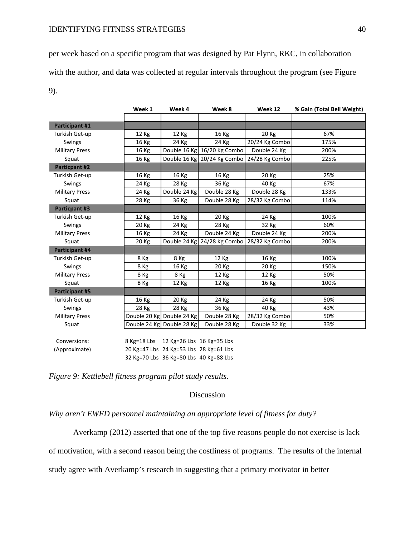per week based on a specific program that was designed by Pat Flynn, RKC, in collaboration with the author, and data was collected at regular intervals throughout the program (see Figure 9).

|                       | Week 1 | Week 4                                 | Week 8                      | Week 12        | % Gain (Total Bell Weight) |
|-----------------------|--------|----------------------------------------|-----------------------------|----------------|----------------------------|
|                       |        |                                        |                             |                |                            |
| Participant #1        |        |                                        |                             |                |                            |
| Turkish Get-up        | 12 Kg  | 12 Kg                                  | 16 Kg                       | 20 Kg          | 67%                        |
| Swings                | 16 Kg  | 24 Kg                                  | 24 Kg                       | 20/24 Kg Combo | 175%                       |
| <b>Military Press</b> | 16 Kg  |                                        | Double 16 Kg 16/20 Kg Combo | Double 24 Kg   | 200%                       |
| Squat                 | 16 Kg  |                                        | Double 16 Kg 20/24 Kg Combo | 24/28 Kg Combo | 225%                       |
| <b>Particpant #2</b>  |        |                                        |                             |                |                            |
| Turkish Get-up        | 16 Kg  | 16 Kg                                  | 16 Kg                       | 20 Kg          | 25%                        |
| Swings                | 24 Kg  | 28 Kg                                  | 36 Kg                       | 40 Kg          | 67%                        |
| <b>Military Press</b> | 24 Kg  | Double 24 Kg                           | Double 28 Kg                | Double 28 Kg   | 133%                       |
| Squat                 | 28 Kg  | 36 Kg                                  | Double 28 Kg                | 28/32 Kg Combo | 114%                       |
| <b>Particpant #3</b>  |        |                                        |                             |                |                            |
| Turkish Get-up        | 12 Kg  | 16 Kg                                  | 20 Kg                       | 24 Kg          | 100%                       |
| <b>Swings</b>         | 20 Kg  | 24 Kg                                  | 28 Kg                       | 32 Kg          | 60%                        |
| <b>Military Press</b> | 16 Kg  | 24 Kg                                  | Double 24 Kg                | Double 24 Kg   | 200%                       |
| Squat                 | 20 Kg  |                                        | Double 24 Kg 24/28 Kg Combo | 28/32 Kg Combo | 200%                       |
| Participant #4        |        |                                        |                             |                |                            |
| Turkish Get-up        | 8 Kg   | 8 Kg                                   | 12 Kg                       | 16 Kg          | 100%                       |
| Swings                | 8 Kg   | 16 Kg                                  | 20 Kg                       | 20 Kg          | 150%                       |
| <b>Military Press</b> | 8 Kg   | 8 Kg                                   | 12 Kg                       | 12 Kg          | 50%                        |
| Squat                 | 8 Kg   | 12 Kg                                  | 12 Kg                       | 16 Kg          | 100%                       |
| <b>Participant #5</b> |        |                                        |                             |                |                            |
| Turkish Get-up        | 16 Kg  | 20 Kg                                  | 24 Kg                       | 24 Kg          | 50%                        |
| Swings                | 28 Kg  | 28 Kg                                  | 36 Kg                       | 40 Kg          | 43%                        |
| <b>Military Press</b> |        | Double 20 Kg Double 24 Kg              | Double 28 Kg                | 28/32 Kg Combo | 50%                        |
| Squat                 |        | Double 24 Kg Double 28 Kg              | Double 28 Kg                | Double 32 Kg   | 33%                        |
|                       |        |                                        |                             |                |                            |
| Conversions:          |        | 8 Kg=18 Lbs 12 Kg=26 Lbs 16 Kg=35 Lbs  |                             |                |                            |
| (Approximate)         |        | 20 Kg=47 Lbs 24 Kg=53 Lbs 28 Kg=61 Lbs |                             |                |                            |
|                       |        | 32 Kg=70 Lbs 36 Kg=80 Lbs 40 Kg=88 Lbs |                             |                |                            |

*Figure 9: Kettlebell fitness program pilot study results.*

## Discussion

*Why aren't EWFD personnel maintaining an appropriate level of fitness for duty?*

Averkamp (2012) asserted that one of the top five reasons people do not exercise is lack

of motivation, with a second reason being the costliness of programs. The results of the internal

study agree with Averkamp's research in suggesting that a primary motivator in better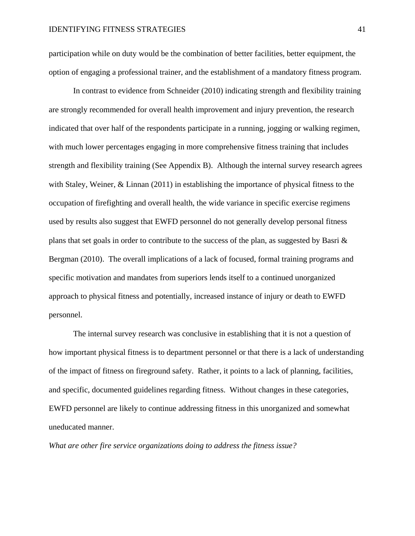participation while on duty would be the combination of better facilities, better equipment, the option of engaging a professional trainer, and the establishment of a mandatory fitness program.

In contrast to evidence from Schneider (2010) indicating strength and flexibility training are strongly recommended for overall health improvement and injury prevention, the research indicated that over half of the respondents participate in a running, jogging or walking regimen, with much lower percentages engaging in more comprehensive fitness training that includes strength and flexibility training (See Appendix B). Although the internal survey research agrees with Staley, Weiner, & Linnan (2011) in establishing the importance of physical fitness to the occupation of firefighting and overall health, the wide variance in specific exercise regimens used by results also suggest that EWFD personnel do not generally develop personal fitness plans that set goals in order to contribute to the success of the plan, as suggested by Basri & Bergman (2010). The overall implications of a lack of focused, formal training programs and specific motivation and mandates from superiors lends itself to a continued unorganized approach to physical fitness and potentially, increased instance of injury or death to EWFD personnel.

The internal survey research was conclusive in establishing that it is not a question of how important physical fitness is to department personnel or that there is a lack of understanding of the impact of fitness on fireground safety. Rather, it points to a lack of planning, facilities, and specific, documented guidelines regarding fitness. Without changes in these categories, EWFD personnel are likely to continue addressing fitness in this unorganized and somewhat uneducated manner.

*What are other fire service organizations doing to address the fitness issue?*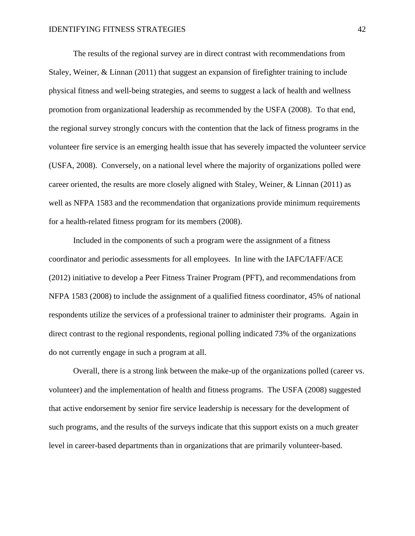The results of the regional survey are in direct contrast with recommendations from Staley, Weiner, & Linnan (2011) that suggest an expansion of firefighter training to include physical fitness and well-being strategies, and seems to suggest a lack of health and wellness promotion from organizational leadership as recommended by the USFA (2008). To that end, the regional survey strongly concurs with the contention that the lack of fitness programs in the volunteer fire service is an emerging health issue that has severely impacted the volunteer service (USFA, 2008). Conversely, on a national level where the majority of organizations polled were career oriented, the results are more closely aligned with Staley, Weiner, & Linnan (2011) as well as NFPA 1583 and the recommendation that organizations provide minimum requirements for a health-related fitness program for its members (2008).

Included in the components of such a program were the assignment of a fitness coordinator and periodic assessments for all employees. In line with the IAFC/IAFF/ACE (2012) initiative to develop a Peer Fitness Trainer Program (PFT), and recommendations from NFPA 1583 (2008) to include the assignment of a qualified fitness coordinator, 45% of national respondents utilize the services of a professional trainer to administer their programs. Again in direct contrast to the regional respondents, regional polling indicated 73% of the organizations do not currently engage in such a program at all.

Overall, there is a strong link between the make-up of the organizations polled (career vs. volunteer) and the implementation of health and fitness programs. The USFA (2008) suggested that active endorsement by senior fire service leadership is necessary for the development of such programs, and the results of the surveys indicate that this support exists on a much greater level in career-based departments than in organizations that are primarily volunteer-based.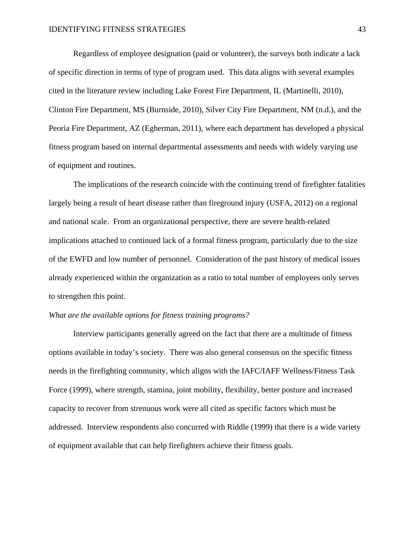Regardless of employee designation (paid or volunteer), the surveys both indicate a lack of specific direction in terms of type of program used. This data aligns with several examples cited in the literature review including Lake Forest Fire Department, IL (Martinelli, 2010), Clinton Fire Department, MS (Burnside, 2010), Silver City Fire Department, NM (n.d.), and the Peoria Fire Department, AZ (Egherman, 2011), where each department has developed a physical fitness program based on internal departmental assessments and needs with widely varying use of equipment and routines.

The implications of the research coincide with the continuing trend of firefighter fatalities largely being a result of heart disease rather than fireground injury (USFA, 2012) on a regional and national scale. From an organizational perspective, there are severe health-related implications attached to continued lack of a formal fitness program, particularly due to the size of the EWFD and low number of personnel. Consideration of the past history of medical issues already experienced within the organization as a ratio to total number of employees only serves to strengthen this point.

## *What are the available options for fitness training programs?*

Interview participants generally agreed on the fact that there are a multitude of fitness options available in today's society. There was also general consensus on the specific fitness needs in the firefighting community, which aligns with the IAFC/IAFF Wellness/Fitness Task Force (1999), where strength, stamina, joint mobility, flexibility, better posture and increased capacity to recover from strenuous work were all cited as specific factors which must be addressed. Interview respondents also concurred with Riddle (1999) that there is a wide variety of equipment available that can help firefighters achieve their fitness goals.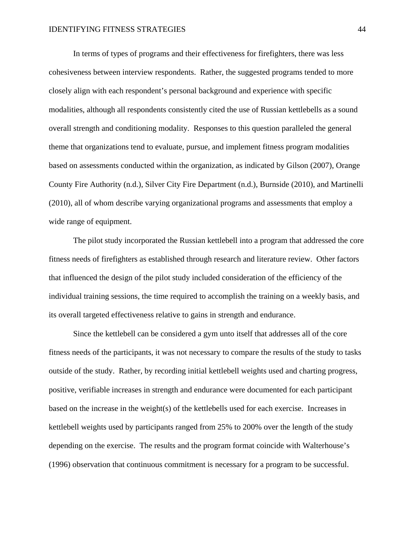In terms of types of programs and their effectiveness for firefighters, there was less cohesiveness between interview respondents. Rather, the suggested programs tended to more closely align with each respondent's personal background and experience with specific modalities, although all respondents consistently cited the use of Russian kettlebells as a sound overall strength and conditioning modality. Responses to this question paralleled the general theme that organizations tend to evaluate, pursue, and implement fitness program modalities based on assessments conducted within the organization, as indicated by Gilson (2007), Orange County Fire Authority (n.d.), Silver City Fire Department (n.d.), Burnside (2010), and Martinelli (2010), all of whom describe varying organizational programs and assessments that employ a wide range of equipment.

The pilot study incorporated the Russian kettlebell into a program that addressed the core fitness needs of firefighters as established through research and literature review. Other factors that influenced the design of the pilot study included consideration of the efficiency of the individual training sessions, the time required to accomplish the training on a weekly basis, and its overall targeted effectiveness relative to gains in strength and endurance.

Since the kettlebell can be considered a gym unto itself that addresses all of the core fitness needs of the participants, it was not necessary to compare the results of the study to tasks outside of the study. Rather, by recording initial kettlebell weights used and charting progress, positive, verifiable increases in strength and endurance were documented for each participant based on the increase in the weight(s) of the kettlebells used for each exercise. Increases in kettlebell weights used by participants ranged from 25% to 200% over the length of the study depending on the exercise. The results and the program format coincide with Walterhouse's (1996) observation that continuous commitment is necessary for a program to be successful.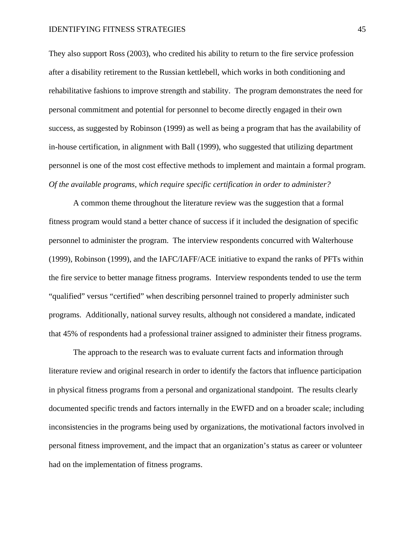They also support Ross (2003), who credited his ability to return to the fire service profession after a disability retirement to the Russian kettlebell, which works in both conditioning and rehabilitative fashions to improve strength and stability. The program demonstrates the need for personal commitment and potential for personnel to become directly engaged in their own success, as suggested by Robinson (1999) as well as being a program that has the availability of in-house certification, in alignment with Ball (1999), who suggested that utilizing department personnel is one of the most cost effective methods to implement and maintain a formal program. *Of the available programs, which require specific certification in order to administer?*

A common theme throughout the literature review was the suggestion that a formal fitness program would stand a better chance of success if it included the designation of specific personnel to administer the program. The interview respondents concurred with Walterhouse (1999), Robinson (1999), and the IAFC/IAFF/ACE initiative to expand the ranks of PFTs within the fire service to better manage fitness programs. Interview respondents tended to use the term "qualified" versus "certified" when describing personnel trained to properly administer such programs. Additionally, national survey results, although not considered a mandate, indicated that 45% of respondents had a professional trainer assigned to administer their fitness programs.

The approach to the research was to evaluate current facts and information through literature review and original research in order to identify the factors that influence participation in physical fitness programs from a personal and organizational standpoint. The results clearly documented specific trends and factors internally in the EWFD and on a broader scale; including inconsistencies in the programs being used by organizations, the motivational factors involved in personal fitness improvement, and the impact that an organization's status as career or volunteer had on the implementation of fitness programs.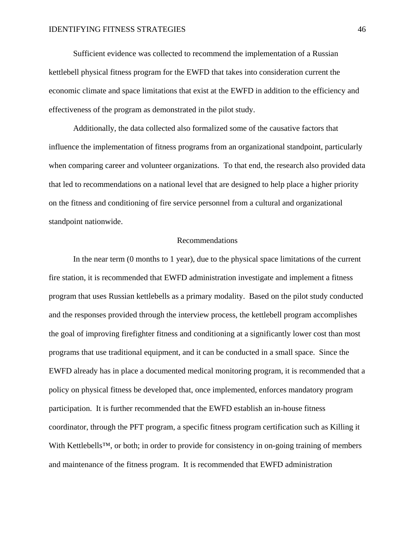Sufficient evidence was collected to recommend the implementation of a Russian kettlebell physical fitness program for the EWFD that takes into consideration current the economic climate and space limitations that exist at the EWFD in addition to the efficiency and effectiveness of the program as demonstrated in the pilot study.

Additionally, the data collected also formalized some of the causative factors that influence the implementation of fitness programs from an organizational standpoint, particularly when comparing career and volunteer organizations. To that end, the research also provided data that led to recommendations on a national level that are designed to help place a higher priority on the fitness and conditioning of fire service personnel from a cultural and organizational standpoint nationwide.

## Recommendations

In the near term (0 months to 1 year), due to the physical space limitations of the current fire station, it is recommended that EWFD administration investigate and implement a fitness program that uses Russian kettlebells as a primary modality. Based on the pilot study conducted and the responses provided through the interview process, the kettlebell program accomplishes the goal of improving firefighter fitness and conditioning at a significantly lower cost than most programs that use traditional equipment, and it can be conducted in a small space. Since the EWFD already has in place a documented medical monitoring program, it is recommended that a policy on physical fitness be developed that, once implemented, enforces mandatory program participation. It is further recommended that the EWFD establish an in-house fitness coordinator, through the PFT program, a specific fitness program certification such as Killing it With Kettlebells™, or both; in order to provide for consistency in on-going training of members and maintenance of the fitness program. It is recommended that EWFD administration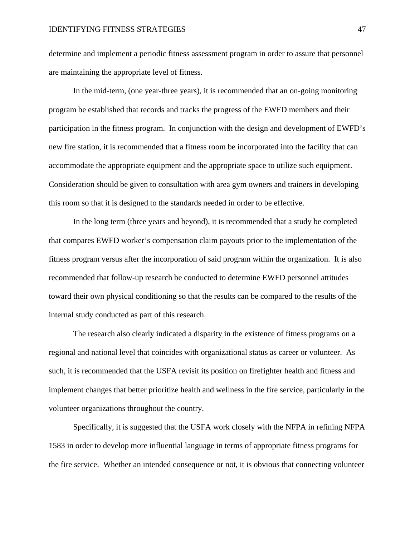determine and implement a periodic fitness assessment program in order to assure that personnel are maintaining the appropriate level of fitness.

In the mid-term, (one year-three years), it is recommended that an on-going monitoring program be established that records and tracks the progress of the EWFD members and their participation in the fitness program. In conjunction with the design and development of EWFD's new fire station, it is recommended that a fitness room be incorporated into the facility that can accommodate the appropriate equipment and the appropriate space to utilize such equipment. Consideration should be given to consultation with area gym owners and trainers in developing this room so that it is designed to the standards needed in order to be effective.

In the long term (three years and beyond), it is recommended that a study be completed that compares EWFD worker's compensation claim payouts prior to the implementation of the fitness program versus after the incorporation of said program within the organization. It is also recommended that follow-up research be conducted to determine EWFD personnel attitudes toward their own physical conditioning so that the results can be compared to the results of the internal study conducted as part of this research.

The research also clearly indicated a disparity in the existence of fitness programs on a regional and national level that coincides with organizational status as career or volunteer. As such, it is recommended that the USFA revisit its position on firefighter health and fitness and implement changes that better prioritize health and wellness in the fire service, particularly in the volunteer organizations throughout the country.

Specifically, it is suggested that the USFA work closely with the NFPA in refining NFPA 1583 in order to develop more influential language in terms of appropriate fitness programs for the fire service. Whether an intended consequence or not, it is obvious that connecting volunteer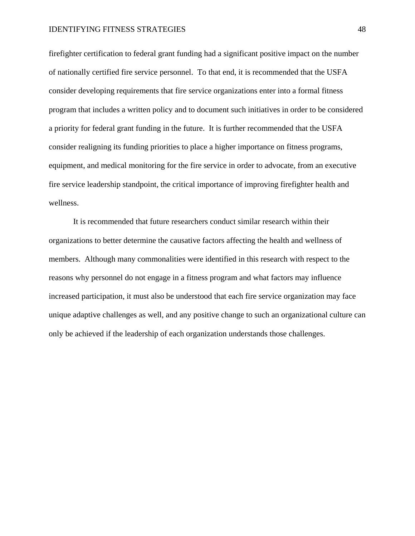firefighter certification to federal grant funding had a significant positive impact on the number of nationally certified fire service personnel. To that end, it is recommended that the USFA consider developing requirements that fire service organizations enter into a formal fitness program that includes a written policy and to document such initiatives in order to be considered a priority for federal grant funding in the future. It is further recommended that the USFA consider realigning its funding priorities to place a higher importance on fitness programs, equipment, and medical monitoring for the fire service in order to advocate, from an executive fire service leadership standpoint, the critical importance of improving firefighter health and wellness.

It is recommended that future researchers conduct similar research within their organizations to better determine the causative factors affecting the health and wellness of members. Although many commonalities were identified in this research with respect to the reasons why personnel do not engage in a fitness program and what factors may influence increased participation, it must also be understood that each fire service organization may face unique adaptive challenges as well, and any positive change to such an organizational culture can only be achieved if the leadership of each organization understands those challenges.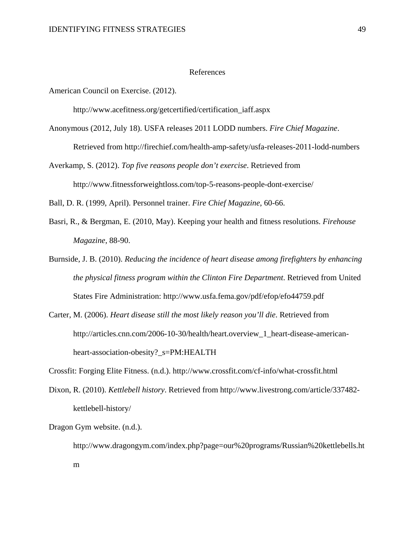#### References

American Council on Exercise. (2012).

http://www.acefitness.org/getcertified/certification\_iaff.aspx

- Anonymous (2012, July 18). USFA releases 2011 LODD numbers. *Fire Chief Magazine*. Retrieved from http://firechief.com/health-amp-safety/usfa-releases-2011-lodd-numbers
- Averkamp, S. (2012). *Top five reasons people don't exercise*. Retrieved from http://www.fitnessforweightloss.com/top-5-reasons-people-dont-exercise/

Ball, D. R. (1999, April). Personnel trainer. *Fire Chief Magazine*, 60-66.

- Basri, R., & Bergman, E. (2010, May). Keeping your health and fitness resolutions. *Firehouse Magazine*, 88-90.
- Burnside, J. B. (2010). *Reducing the incidence of heart disease among firefighters by enhancing the physical fitness program within the Clinton Fire Department*. Retrieved from United States Fire Administration: http://www.usfa.fema.gov/pdf/efop/efo44759.pdf
- Carter, M. (2006). *Heart disease still the most likely reason you'll die*. Retrieved from http://articles.cnn.com/2006-10-30/health/heart.overview\_1\_heart-disease-americanheart-association-obesity?\_s=PM:HEALTH

Crossfit: Forging Elite Fitness. (n.d.). http://www.crossfit.com/cf-info/what-crossfit.html

Dixon, R. (2010). *Kettlebell history*. Retrieved from http://www.livestrong.com/article/337482 kettlebell-history/

Dragon Gym website. (n.d.).

http://www.dragongym.com/index.php?page=our%20programs/Russian%20kettlebells.ht m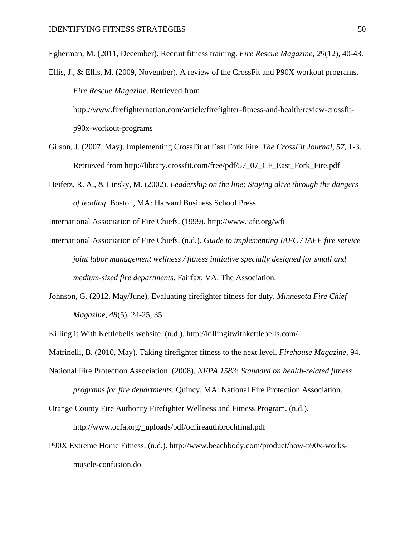Egherman, M. (2011, December). Recruit fitness training. *Fire Rescue Magazine*, *29*(12), 40-43.

Ellis, J., & Ellis, M. (2009, November). A review of the CrossFit and P90X workout programs. *Fire Rescue Magazine*. Retrieved from

http://www.firefighternation.com/article/firefighter-fitness-and-health/review-crossfitp90x-workout-programs

- Gilson, J. (2007, May). Implementing CrossFit at East Fork Fire. *The CrossFit Journal*, *57*, 1-3. Retrieved from http://library.crossfit.com/free/pdf/57\_07\_CF\_East\_Fork\_Fire.pdf
- Heifetz, R. A., & Linsky, M. (2002). *Leadership on the line: Staying alive through the dangers of leading*. Boston, MA: Harvard Business School Press.

International Association of Fire Chiefs. (1999). http://www.iafc.org/wfi

- International Association of Fire Chiefs. (n.d.). *Guide to implementing IAFC / IAFF fire service joint labor management wellness / fitness initiative specially designed for small and medium-sized fire departments*. Fairfax, VA: The Association.
- Johnson, G. (2012, May/June). Evaluating firefighter fitness for duty. *Minnesota Fire Chief Magazine*, *48*(5), 24-25, 35.

Killing it With Kettlebells website. (n.d.). http://killingitwithkettlebells.com/

Matrinelli, B. (2010, May). Taking firefighter fitness to the next level. *Firehouse Magazine*, 94.

National Fire Protection Association. (2008). *NFPA 1583: Standard on health-related fitness programs for fire departments*. Quincy, MA: National Fire Protection Association.

Orange County Fire Authority Firefighter Wellness and Fitness Program. (n.d.).

http://www.ocfa.org/\_uploads/pdf/ocfireauthbrochfinal.pdf

P90X Extreme Home Fitness. (n.d.). http://www.beachbody.com/product/how-p90x-worksmuscle-confusion.do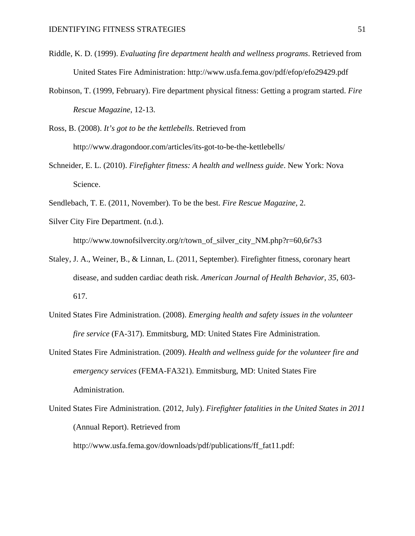- Riddle, K. D. (1999). *Evaluating fire department health and wellness programs*. Retrieved from United States Fire Administration: http://www.usfa.fema.gov/pdf/efop/efo29429.pdf
- Robinson, T. (1999, February). Fire department physical fitness: Getting a program started. *Fire Rescue Magazine*, 12-13.

Ross, B. (2008). *It's got to be the kettlebells*. Retrieved from http://www.dragondoor.com/articles/its-got-to-be-the-kettlebells/

- Schneider, E. L. (2010). *Firefighter fitness: A health and wellness guide*. New York: Nova Science.
- Sendlebach, T. E. (2011, November). To be the best. *Fire Rescue Magazine*, 2.
- Silver City Fire Department. (n.d.).

http://www.townofsilvercity.org/r/town\_of\_silver\_city\_NM.php?r=60,6r7s3

- Staley, J. A., Weiner, B., & Linnan, L. (2011, September). Firefighter fitness, coronary heart disease, and sudden cardiac death risk. *American Journal of Health Behavior*, *35*, 603- 617.
- United States Fire Administration. (2008). *Emerging health and safety issues in the volunteer fire service* (FA-317). Emmitsburg, MD: United States Fire Administration.
- United States Fire Administration. (2009). *Health and wellness guide for the volunteer fire and emergency services* (FEMA-FA321). Emmitsburg, MD: United States Fire Administration.
- United States Fire Administration. (2012, July). *Firefighter fatalities in the United States in 2011*  (Annual Report). Retrieved from http://www.usfa.fema.gov/downloads/pdf/publications/ff\_fat11.pdf: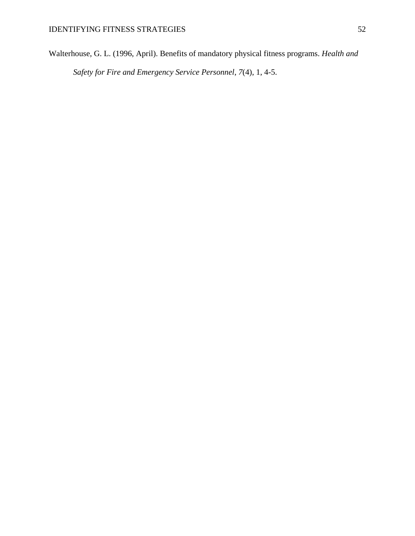Walterhouse, G. L. (1996, April). Benefits of mandatory physical fitness programs. *Health and Safety for Fire and Emergency Service Personnel*, *7*(4), 1, 4-5.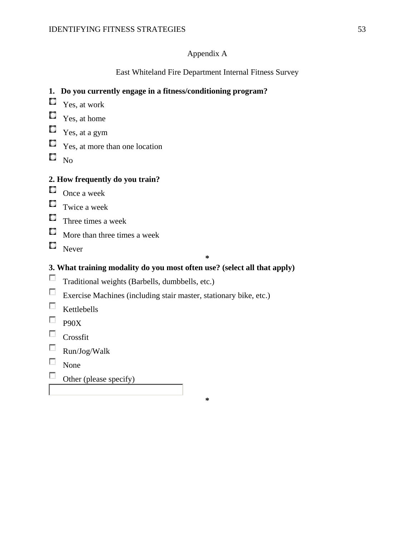## Appendix A

# East Whiteland Fire Department Internal Fitness Survey

## **1. Do you currently engage in a fitness/conditioning program?**

- $\blacksquare$  Yes, at work
- $\blacksquare$  Yes, at home
- $\blacksquare$  Yes, at a gym
- $\blacksquare$  Yes, at more than one location
- $\square$   $_{\rm No}$

## **2. How frequently do you train?**

- $\Box$  Once a week
- $\Box$  Twice a week
- $\Box$  Three times a week
- **More than three times a week**
- $\Box$  Never

**\***

# **3. What training modality do you most often use? (select all that apply)**

- Traditional weights (Barbells, dumbbells, etc.)
- Exercise Machines (including stair master, stationary bike, etc.)
- $\Box$  Kettlebells
- $\n **P90X**\n$
- **Crossfit**
- Run/Jog/Walk
- None
- $\overline{a}$ Other (please specify)

**\***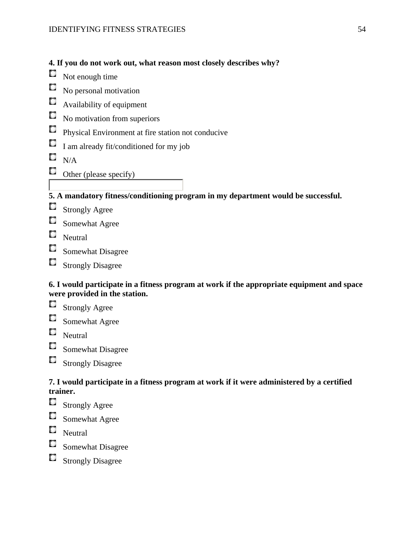- **4. If you do not work out, what reason most closely describes why?**
- С Not enough time

No personal motivation C.

С Availability of equipment

- $\Box$  No motivation from superiors
- Physical Environment at fire station not conducive
- $\Box$ I am already fit/conditioned for my job

 $\square$   $_{\rm N/A}$ 

 $\Box$  Other (please specify)

**5. A mandatory fitness/conditioning program in my department would be successful.**

- О Strongly Agree
- Somewhat Agree
- Neutral
- Somewhat Disagree
- Strongly Disagree

## **6. I would participate in a fitness program at work if the appropriate equipment and space were provided in the station.**

- Strongly Agree
- C. Somewhat Agree
- $\blacksquare$  Neutral
- $\Box$ Somewhat Disagree
- $\Box$ Strongly Disagree

# **7. I would participate in a fitness program at work if it were administered by a certified trainer.**

- C. Strongly Agree
- Somewhat Agree
- $\Box$  Neutral
- Somewhat Disagree
- Strongly Disagree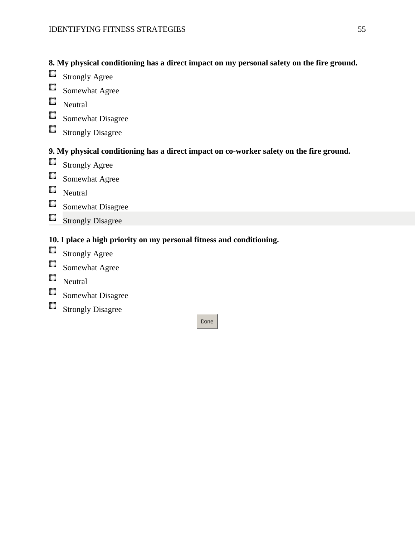# **8. My physical conditioning has a direct impact on my personal safety on the fire ground.**

- Strongly Agree
- $\mathcal{L}$ Somewhat Agree
- Neutral
- Somewhat Disagree
- Strongly Disagree

# **9. My physical conditioning has a direct impact on co-worker safety on the fire ground.**

- Strongly Agree
- Somewhat Agree
- Neutral
- Somewhat Disagree
- $\Box$ Strongly Disagree

# **10. I place a high priority on my personal fitness and conditioning.**

- Strongly Agree
- Somewhat Agree
- Neutral
- Somewhat Disagree
- Strongly Disagree

#### Done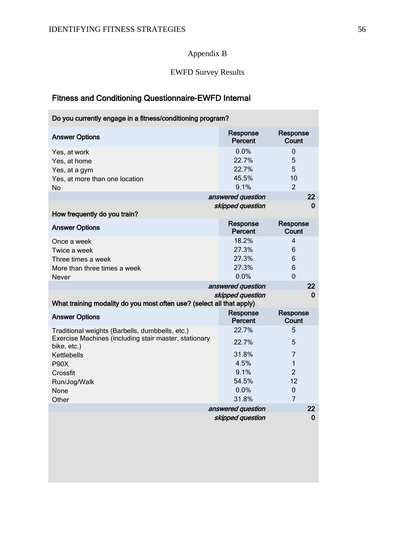# Appendix B

# EWFD Survey Results

# Fitness and Conditioning Questionnaire-EWFD Internal

| Do you currently engage in a fitness/conditioning program?            |                     |                   |  |
|-----------------------------------------------------------------------|---------------------|-------------------|--|
| <b>Answer Options</b>                                                 | Response<br>Percent | Response<br>Count |  |
| Yes, at work                                                          | 0.0%                | 0                 |  |
| Yes, at home                                                          | 22.7%               | 5                 |  |
| Yes, at a gym                                                         | 22.7%               | 5                 |  |
| Yes, at more than one location                                        | 45.5%               | 10                |  |
| No                                                                    | 9.1%                | $\overline{2}$    |  |
|                                                                       | answered question   | 22                |  |
| How frequently do you train?                                          | skipped question    | 0                 |  |
| <b>Answer Options</b>                                                 | Response<br>Percent | Response<br>Count |  |
| Once a week                                                           | 18.2%               | $\overline{4}$    |  |
| Twice a week                                                          | 27.3%               | 6                 |  |
| Three times a week                                                    | 27.3%               | 6                 |  |
| More than three times a week                                          | 27.3%               | 6                 |  |
| <b>Never</b>                                                          | 0.0%                | $\overline{0}$    |  |
|                                                                       | answered question   | 22                |  |
| What training modality do you most often use? (select all that apply) | skipped question    | $\bf{0}$          |  |
| <b>Answer Options</b>                                                 | Response<br>Percent | Response<br>Count |  |
| Traditional weights (Barbells, dumbbells, etc.)                       | 22.7%               | 5                 |  |
| Exercise Machines (including stair master, stationary<br>bike, etc.)  | 22.7%               | 5                 |  |
| Kettlebells                                                           | 31.8%               | $\overline{7}$    |  |
| <b>P90X</b>                                                           | 4.5%                | $\mathbf{1}$      |  |
| Crossfit                                                              | 9.1%                | $\overline{2}$    |  |
| Run/Jog/Walk                                                          | 54.5%               | 12                |  |
| None                                                                  | 0.0%                | $\mathbf 0$       |  |
| Other                                                                 | 31.8%               | $\overline{7}$    |  |
|                                                                       | answered question   | 22                |  |
|                                                                       | skipped question    | 0                 |  |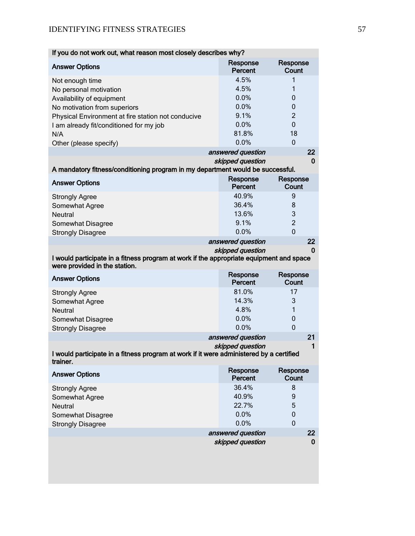| If you do not work out, what reason most closely describes why?                                                          |                            |                   |
|--------------------------------------------------------------------------------------------------------------------------|----------------------------|-------------------|
| <b>Answer Options</b>                                                                                                    | Response<br>Percent        | Response<br>Count |
| Not enough time                                                                                                          | 4.5%                       | 1                 |
| No personal motivation                                                                                                   | 4.5%                       | 1                 |
| Availability of equipment                                                                                                | 0.0%                       | 0                 |
| No motivation from superiors                                                                                             | 0.0%                       | 0                 |
| Physical Environment at fire station not conducive                                                                       | 9.1%                       | $\overline{2}$    |
| I am already fit/conditioned for my job                                                                                  | 0.0%                       | $\mathbf{0}$      |
| N/A                                                                                                                      | 81.8%                      | 18                |
|                                                                                                                          | 0.0%                       | $\mathbf 0$       |
| Other (please specify)                                                                                                   |                            |                   |
|                                                                                                                          | answered question          | 22                |
| A mandatory fitness/conditioning program in my department would be successful.                                           | skipped question           | 0                 |
| <b>Answer Options</b>                                                                                                    | Response<br><b>Percent</b> | Response<br>Count |
| <b>Strongly Agree</b>                                                                                                    | 40.9%                      | 9                 |
| Somewhat Agree                                                                                                           | 36.4%                      | 8                 |
| <b>Neutral</b>                                                                                                           | 13.6%                      | 3                 |
| Somewhat Disagree                                                                                                        | 9.1%                       | $\overline{c}$    |
| <b>Strongly Disagree</b>                                                                                                 | 0.0%                       | $\overline{0}$    |
|                                                                                                                          | answered question          | 22                |
|                                                                                                                          | skipped question           | 0                 |
| I would participate in a fitness program at work if the appropriate equipment and space<br>were provided in the station. |                            |                   |
| <b>Answer Options</b>                                                                                                    | Response<br>Percent        | Response<br>Count |
| <b>Strongly Agree</b>                                                                                                    | 81.0%                      | 17                |
| Somewhat Agree                                                                                                           | 14.3%                      | 3                 |
| Neutral                                                                                                                  | 4.8%                       | 1                 |
| Somewhat Disagree                                                                                                        | 0.0%                       | $\mathbf 0$       |
| <b>Strongly Disagree</b>                                                                                                 | 0.0%                       | $\mathbf 0$       |
|                                                                                                                          | answered question          | 21                |
| I would participate in a fitness program at work if it were administered by a certified                                  | skipped question           | 1                 |
| trainer.                                                                                                                 |                            |                   |
| <b>Answer Options</b>                                                                                                    | Response<br>Percent        | Response<br>Count |
| <b>Strongly Agree</b>                                                                                                    | 36.4%                      | 8                 |
| Somewhat Agree                                                                                                           | 40.9%                      | $\boldsymbol{9}$  |
| <b>Neutral</b>                                                                                                           | 22.7%                      | 5                 |
| Somewhat Disagree                                                                                                        | 0.0%                       | $\pmb{0}$         |
| <b>Strongly Disagree</b>                                                                                                 | 0.0%                       | $\mathbf 0$       |
|                                                                                                                          | answered question          | 22                |
|                                                                                                                          | skipped question           | $\bf{0}$          |
|                                                                                                                          |                            |                   |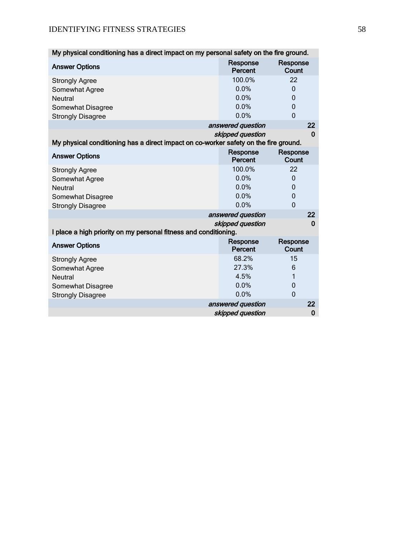| My physical conditioning has a direct impact on my personal safety on the fire ground. |                     |                   |  |  |
|----------------------------------------------------------------------------------------|---------------------|-------------------|--|--|
| <b>Answer Options</b>                                                                  | Response<br>Percent | Response<br>Count |  |  |
| <b>Strongly Agree</b>                                                                  | 100.0%              | 22                |  |  |
| Somewhat Agree                                                                         | 0.0%                | $\Omega$          |  |  |
| <b>Neutral</b>                                                                         | 0.0%                | 0                 |  |  |
| Somewhat Disagree                                                                      | 0.0%                | 0                 |  |  |
| <b>Strongly Disagree</b>                                                               | 0.0%                | 0                 |  |  |
|                                                                                        | answered question   | 22                |  |  |
|                                                                                        | skipped question    | $\bf{0}$          |  |  |
| My physical conditioning has a direct impact on co-worker safety on the fire ground.   |                     |                   |  |  |
| <b>Answer Options</b>                                                                  | Response<br>Percent | Response<br>Count |  |  |
| <b>Strongly Agree</b>                                                                  | 100.0%              | 22                |  |  |
| Somewhat Agree                                                                         | 0.0%                | 0                 |  |  |
| <b>Neutral</b>                                                                         | 0.0%                | 0                 |  |  |
| Somewhat Disagree                                                                      | 0.0%                | 0                 |  |  |
| <b>Strongly Disagree</b>                                                               | 0.0%                | $\Omega$          |  |  |
|                                                                                        | answered question   | 22                |  |  |
| I place a high priority on my personal fitness and conditioning.                       | skipped question    | 0                 |  |  |
| <b>Answer Options</b>                                                                  | Response<br>Percent | Response<br>Count |  |  |
| <b>Strongly Agree</b>                                                                  | 68.2%               | 15                |  |  |
| Somewhat Agree                                                                         | 27.3%               | 6                 |  |  |
| <b>Neutral</b>                                                                         | 4.5%                | 1                 |  |  |
| Somewhat Disagree                                                                      | 0.0%                | 0                 |  |  |
| <b>Strongly Disagree</b>                                                               | 0.0%                | $\overline{0}$    |  |  |
|                                                                                        | answered question   | 22                |  |  |
|                                                                                        | skipped question    | $\bf{0}$          |  |  |
|                                                                                        |                     |                   |  |  |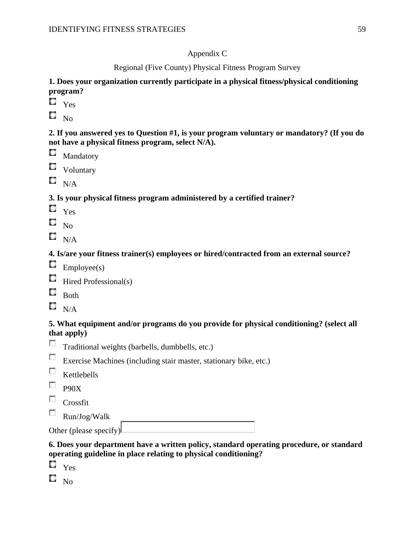# Appendix C

Regional (Five County) Physical Fitness Program Survey

## **1. Does your organization currently participate in a physical fitness/physical conditioning program?**

- $\square$   $\gamma$ es
- $\square$  No.

## **2. If you answered yes to Question #1, is your program voluntary or mandatory? (If you do not have a physical fitness program, select N/A).**

- $\square$  Mandatory
- **C** Voluntary
- $N/A$

## **3. Is your physical fitness program administered by a certified trainer?**

- $\Box$  Yes
- $\square$  No
- $\square$   $_{\rm N/A}$

## **4. Is/are your fitness trainer(s) employees or hired/contracted from an external source?**

- $\blacksquare$  Employee(s)
- $\Box$  Hired Professional(s)
- $\Box$  Both
- $\square$   $_{\rm N/A}$

## **5. What equipment and/or programs do you provide for physical conditioning? (select all that apply)**

- $\overline{a}$ Traditional weights (barbells, dumbbells, etc.)
- Exercise Machines (including stair master, stationary bike, etc.)
- $\Box$  Kettlebells
- $\neg$  P90X
- $\Box$  Crossfit
- $\sim$ Run/Jog/Walk

| Other (please specify) |  |
|------------------------|--|
|                        |  |

## **6. Does your department have a written policy, standard operating procedure, or standard operating guideline in place relating to physical conditioning?**

- $\square$   $\gamma$ es
- $\square$   $_{\rm No}$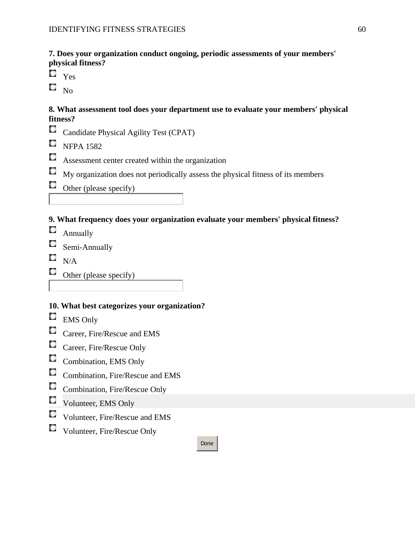**7. Does your organization conduct ongoing, periodic assessments of your members' physical fitness?**

- $\mathbb{C}$ Yes
- $\square$   $_{\rm No}$

## **8. What assessment tool does your department use to evaluate your members' physical fitness?**

- С Candidate Physical Agility Test (CPAT)
- $\blacksquare$  NFPA 1582
- С Assessment center created within the organization
- $\Box$ My organization does not periodically assess the physical fitness of its members
- $\Box$  Other (please specify)

## **9. What frequency does your organization evaluate your members' physical fitness?**

- **C** Annually
- $\blacksquare$  Semi-Annually
- $\Box$  N/A
- $\Box$  Other (please specify)

# **10. What best categorizes your organization?**

- $\Box$ EMS Only
- $\Box$ Career, Fire/Rescue and EMS
- Career, Fire/Rescue Only
- Combination, EMS Only
- Combination, Fire/Rescue and EMS
- Combination, Fire/Rescue Only
- Volunteer, EMS Only
- Volunteer, Fire/Rescue and EMS
- Volunteer, Fire/Rescue Only

## Done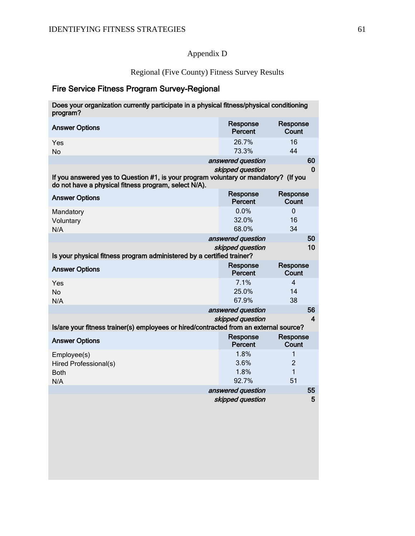# Appendix D

Regional (Five County) Fitness Survey Results

# Fire Service Fitness Program Survey-Regional

| Does your organization currently participate in a physical fitness/physical conditioning<br>program?                                        |                        |                          |  |
|---------------------------------------------------------------------------------------------------------------------------------------------|------------------------|--------------------------|--|
| <b>Answer Options</b>                                                                                                                       | Response<br>Percent    | Response<br>Count        |  |
| Yes<br><b>No</b>                                                                                                                            | 26.7%<br>73.3%         | 16<br>44                 |  |
|                                                                                                                                             | answered question      | 60                       |  |
| If you answered yes to Question #1, is your program voluntary or mandatory? (If you<br>do not have a physical fitness program, select N/A). | skipped question       | $\bf{0}$                 |  |
| <b>Answer Options</b>                                                                                                                       | Response<br>Percent    | Response<br>Count        |  |
| Mandatory<br>Voluntary<br>N/A                                                                                                               | 0.0%<br>32.0%<br>68.0% | $\mathbf{0}$<br>16<br>34 |  |
|                                                                                                                                             | answered question      | 50                       |  |
| Is your physical fitness program administered by a certified trainer?                                                                       | skipped question       | 10                       |  |
| <b>Answer Options</b>                                                                                                                       | Response<br>Percent    | Response<br>Count        |  |
| Yes<br><b>No</b>                                                                                                                            | 7.1%<br>25.0%          | $\overline{4}$<br>14     |  |
| N/A                                                                                                                                         | 67.9%                  | 38                       |  |
|                                                                                                                                             | answered question      | 56                       |  |
|                                                                                                                                             | skipped question       | 4                        |  |
| Is/are your fitness trainer(s) employees or hired/contracted from an external source?                                                       |                        |                          |  |
| <b>Answer Options</b>                                                                                                                       | Response<br>Percent    | Response<br>Count        |  |
| Employee(s)                                                                                                                                 | 1.8%                   | 1                        |  |
| Hired Professional(s)                                                                                                                       | 3.6%                   | $\overline{2}$           |  |
| <b>Both</b>                                                                                                                                 | 1.8%<br>92.7%          | $\mathbf{1}$<br>51       |  |
| N/A                                                                                                                                         | answered question      | 55                       |  |
|                                                                                                                                             | skipped question       | 5                        |  |
|                                                                                                                                             |                        |                          |  |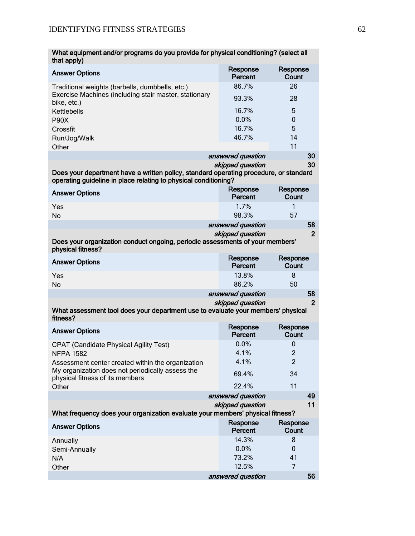| What equipment and/or programs do you provide for physical conditioning? (select all<br>that apply)                                                      |                                       |                      |  |
|----------------------------------------------------------------------------------------------------------------------------------------------------------|---------------------------------------|----------------------|--|
| <b>Answer Options</b>                                                                                                                                    | Response<br>Percent                   | Response<br>Count    |  |
| Traditional weights (barbells, dumbbells, etc.)                                                                                                          | 86.7%                                 | 26                   |  |
| Exercise Machines (including stair master, stationary<br>bike, etc.)                                                                                     | 93.3%                                 | 28                   |  |
| Kettlebells                                                                                                                                              | 16.7%                                 | 5                    |  |
| <b>P90X</b>                                                                                                                                              | 0.0%                                  | $\mathbf 0$          |  |
| Crossfit                                                                                                                                                 | 16.7%                                 | 5                    |  |
| Run/Jog/Walk<br>Other                                                                                                                                    | 46.7%                                 | 14<br>11             |  |
|                                                                                                                                                          | answered question                     | 30                   |  |
|                                                                                                                                                          | skipped question                      | 30                   |  |
| Does your department have a written policy, standard operating procedure, or standard<br>operating guideline in place relating to physical conditioning? |                                       |                      |  |
| <b>Answer Options</b>                                                                                                                                    | Response<br>Percent                   | Response<br>Count    |  |
| Yes                                                                                                                                                      | 1.7%                                  | 1                    |  |
| <b>No</b>                                                                                                                                                | 98.3%                                 | 57                   |  |
|                                                                                                                                                          | answered question<br>skipped question | 58<br>$\overline{2}$ |  |
| Does your organization conduct ongoing, periodic assessments of your members'<br>physical fitness?                                                       |                                       |                      |  |
| <b>Answer Options</b>                                                                                                                                    | Response<br>Percent                   | Response<br>Count    |  |
| Yes<br><b>No</b>                                                                                                                                         | 13.8%<br>86.2%                        | 8<br>50              |  |
|                                                                                                                                                          | answered question                     | 58                   |  |
| What assessment tool does your department use to evaluate your members' physical<br>fitness?                                                             | skipped question                      | $\overline{2}$       |  |
| <b>Answer Options</b>                                                                                                                                    | Response<br>Percent                   | Response<br>Count    |  |
| <b>CPAT (Candidate Physical Agility Test)</b>                                                                                                            | 0.0%                                  | 0                    |  |
| <b>NFPA 1582</b>                                                                                                                                         | 4.1%                                  | 2                    |  |
| Assessment center created within the organization<br>My organization does not periodically assess the                                                    | 4.1%<br>69.4%                         | $\overline{2}$<br>34 |  |
| physical fitness of its members<br>Other                                                                                                                 | 22.4%                                 | 11                   |  |
|                                                                                                                                                          | answered question                     | 49                   |  |
|                                                                                                                                                          | skipped question                      | 11                   |  |
| What frequency does your organization evaluate your members' physical fitness?                                                                           |                                       |                      |  |
| <b>Answer Options</b>                                                                                                                                    | Response<br>Percent                   | Response<br>Count    |  |
| Annually                                                                                                                                                 | 14.3%                                 | 8                    |  |
| Semi-Annually<br>N/A                                                                                                                                     | 0.0%<br>73.2%                         | 0<br>41              |  |
| Other                                                                                                                                                    | 12.5%                                 | 7                    |  |
|                                                                                                                                                          | answered question                     | 56                   |  |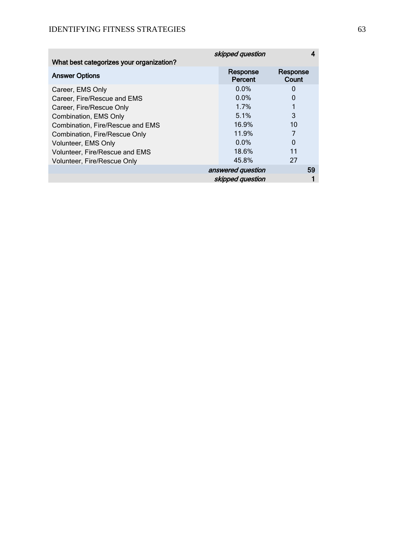|                                          | skipped question    |                   |
|------------------------------------------|---------------------|-------------------|
| What best categorizes your organization? |                     |                   |
| <b>Answer Options</b>                    | Response<br>Percent | Response<br>Count |
| Career, EMS Only                         | $0.0\%$             | O                 |
| Career, Fire/Rescue and EMS              | $0.0\%$             | 0                 |
| Career, Fire/Rescue Only                 | 1.7%                |                   |
| Combination, EMS Only                    | 5.1%                | 3                 |
| Combination, Fire/Rescue and EMS         | 16.9%               | 10                |
| Combination, Fire/Rescue Only            | 11.9%               |                   |
| Volunteer, EMS Only                      | $0.0\%$             | 0                 |
| Volunteer, Fire/Rescue and EMS           | 18.6%               | 11                |
| Volunteer, Fire/Rescue Only              | 45.8%               | 27                |
|                                          | answered question   | 59                |
|                                          | skipped question    |                   |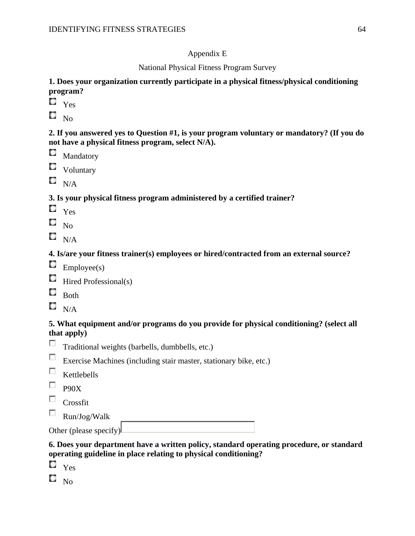## Appendix E

National Physical Fitness Program Survey

## **1. Does your organization currently participate in a physical fitness/physical conditioning program?**

- $\Box$  Yes
- $\square$  No.

**2. If you answered yes to Question #1, is your program voluntary or mandatory? (If you do not have a physical fitness program, select N/A).**

- Mandatory
- **C** Voluntary
- $N/A$

# **3. Is your physical fitness program administered by a certified trainer?**

- $\Box$  Yes
- $\square$  No
- $\square$   $_{\rm N/A}$

## **4. Is/are your fitness trainer(s) employees or hired/contracted from an external source?**

- $\blacksquare$  Employee(s)
- $\Box$  Hired Professional(s)
- $\Box$  Both
- $\square$   $_{\rm N/A}$

## **5. What equipment and/or programs do you provide for physical conditioning? (select all that apply)**

- $\overline{a}$ Traditional weights (barbells, dumbbells, etc.)
- Exercise Machines (including stair master, stationary bike, etc.)
- $\Box$  Kettlebells
- $\neg$  P90X
- $\Box$  Crossfit
- $\sim$ Run/Jog/Walk

| Other (please specify) |  |
|------------------------|--|
|                        |  |
|                        |  |

## **6. Does your department have a written policy, standard operating procedure, or standard operating guideline in place relating to physical conditioning?**

- $\square$   $\gamma$ es
- $\square$   $_{\rm No}$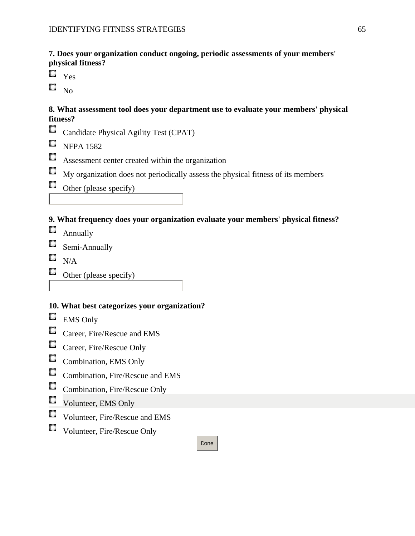**7. Does your organization conduct ongoing, periodic assessments of your members' physical fitness?**

- $\mathbb{C}$ Yes
- $\square$   $_{\rm No}$

## **8. What assessment tool does your department use to evaluate your members' physical fitness?**

- С Candidate Physical Agility Test (CPAT)
- $\blacksquare$  NFPA 1582
- С Assessment center created within the organization
- $\Box$ My organization does not periodically assess the physical fitness of its members
- $\Box$  Other (please specify)

## **9. What frequency does your organization evaluate your members' physical fitness?**

- **C** Annually
- $\blacksquare$  Semi-Annually
- $\Box$  N/A
- $\Box$  Other (please specify)

# **10. What best categorizes your organization?**

- $\Box$ EMS Only
- $\Box$ Career, Fire/Rescue and EMS
- Career, Fire/Rescue Only
- Combination, EMS Only
- Combination, Fire/Rescue and EMS
- Combination, Fire/Rescue Only
- Volunteer, EMS Only
- Volunteer, Fire/Rescue and EMS
- Volunteer, Fire/Rescue Only

## Done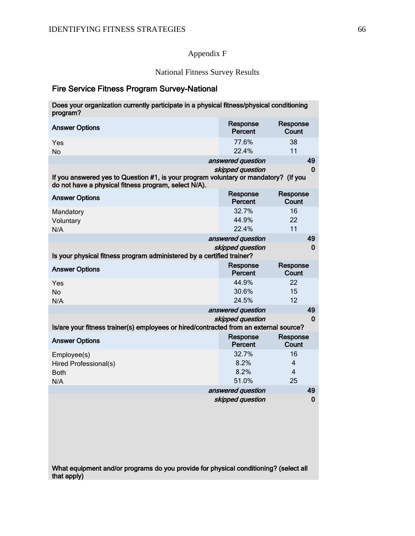# Appendix F

# National Fitness Survey Results

# Fire Service Fitness Program Survey-National

| Does your organization currently participate in a physical fitness/physical conditioning |  |
|------------------------------------------------------------------------------------------|--|
| program?                                                                                 |  |
|                                                                                          |  |

| <b>Answer Options</b>                                                                                                                       | Response<br>Percent | Response<br>Count |
|---------------------------------------------------------------------------------------------------------------------------------------------|---------------------|-------------------|
| Yes                                                                                                                                         | 77.6%               | 38                |
| No                                                                                                                                          | 22.4%               | 11                |
|                                                                                                                                             | answered question   | 49                |
| If you answered yes to Question #1, is your program voluntary or mandatory? (If you<br>do not have a physical fitness program, select N/A). | skipped question    | $\bf{0}$          |
| <b>Answer Options</b>                                                                                                                       | Response<br>Percent | Response<br>Count |
| Mandatory                                                                                                                                   | 32.7%               | 16                |
| Voluntary                                                                                                                                   | 44.9%               | 22                |
| N/A                                                                                                                                         | 22.4%               | 11                |
|                                                                                                                                             | answered question   | 49                |
|                                                                                                                                             | skipped question    | $\bf{0}$          |
| Is your physical fitness program administered by a certified trainer?                                                                       |                     |                   |
| <b>Answer Options</b>                                                                                                                       | Response<br>Percent | Response<br>Count |
| Yes                                                                                                                                         | 44.9%               | 22                |
| <b>No</b>                                                                                                                                   | 30.6%               | 15                |
| N/A                                                                                                                                         | 24.5%               | 12                |
|                                                                                                                                             | answered question   | 49                |
|                                                                                                                                             | skipped question    | $\bf{0}$          |
| Is/are your fitness trainer(s) employees or hired/contracted from an external source?                                                       |                     |                   |
| <b>Answer Options</b>                                                                                                                       | Response<br>Percent | Response<br>Count |
| Employee(s)                                                                                                                                 | 32.7%               | 16                |
| Hired Professional(s)                                                                                                                       | 8.2%                | $\overline{4}$    |
| <b>Both</b>                                                                                                                                 | 8.2%                | $\overline{4}$    |
| N/A                                                                                                                                         | 51.0%               | 25                |
|                                                                                                                                             | answered question   | 49                |
|                                                                                                                                             | skipped question    | $\bf{0}$          |

What equipment and/or programs do you provide for physical conditioning? (select all that apply)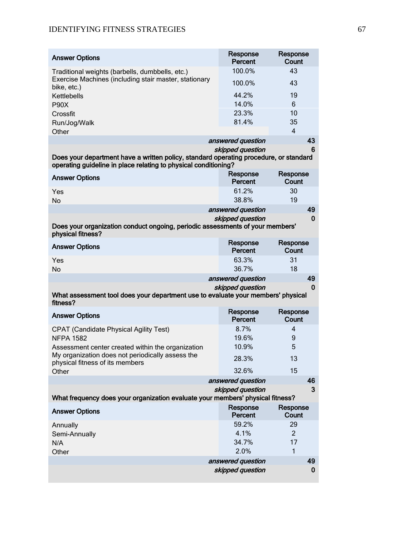| <b>Answer Options</b>                                                                                                                                    | Response<br>Percent | Response<br>Count              |
|----------------------------------------------------------------------------------------------------------------------------------------------------------|---------------------|--------------------------------|
| Traditional weights (barbells, dumbbells, etc.)                                                                                                          | 100.0%              | 43                             |
| Exercise Machines (including stair master, stationary<br>bike, etc.)                                                                                     | 100.0%              | 43                             |
| Kettlebells                                                                                                                                              | 44.2%               | 19                             |
| <b>P90X</b>                                                                                                                                              | 14.0%               | 6                              |
| Crossfit                                                                                                                                                 | 23.3%               | 10                             |
| Run/Jog/Walk<br>Other                                                                                                                                    | 81.4%               | 35<br>$\overline{\mathcal{A}}$ |
|                                                                                                                                                          | answered question   | 43                             |
| Does your department have a written policy, standard operating procedure, or standard<br>operating guideline in place relating to physical conditioning? | skipped question    | 6                              |
| <b>Answer Options</b>                                                                                                                                    | Response<br>Percent | Response<br>Count              |
| Yes                                                                                                                                                      | 61.2%               | 30                             |
| No                                                                                                                                                       | 38.8%               | 19                             |
|                                                                                                                                                          | answered question   | 49                             |
|                                                                                                                                                          | skipped question    | 0                              |
| Does your organization conduct ongoing, periodic assessments of your members'<br>physical fitness?                                                       |                     |                                |
| <b>Answer Options</b>                                                                                                                                    | Response<br>Percent | Response<br>Count              |
| Yes                                                                                                                                                      | 63.3%               | 31                             |
| No                                                                                                                                                       | 36.7%               | 18                             |
|                                                                                                                                                          | answered question   | 49                             |
| What assessment tool does your department use to evaluate your members' physical<br>fitness?                                                             | skipped question    | 0                              |
|                                                                                                                                                          | Response            | Response                       |
| <b>Answer Options</b>                                                                                                                                    | Percent             | Count                          |
| <b>CPAT (Candidate Physical Agility Test)</b>                                                                                                            | 8.7%                | 4                              |
| <b>NFPA 1582</b>                                                                                                                                         | 19.6%               | 9                              |
| Assessment center created within the organization                                                                                                        | 10.9%               | 5                              |
| My organization does not periodically assess the<br>physical fitness of its members                                                                      | 28.3%               | 13                             |
| Other                                                                                                                                                    | 32.6%               | 15                             |
|                                                                                                                                                          | answered question   | 46                             |
|                                                                                                                                                          | skipped question    | 3                              |
| What frequency does your organization evaluate your members' physical fitness?                                                                           |                     |                                |
| <b>Answer Options</b>                                                                                                                                    | Response<br>Percent | Response<br>Count              |
| Annually                                                                                                                                                 | 59.2%               | 29                             |
| Semi-Annually                                                                                                                                            | 4.1%                | $\overline{2}$                 |
| N/A                                                                                                                                                      | 34.7%               | 17                             |
| Other                                                                                                                                                    | 2.0%                | $\mathbf{1}$                   |
|                                                                                                                                                          | answered question   | 49                             |
|                                                                                                                                                          | skipped question    | 0                              |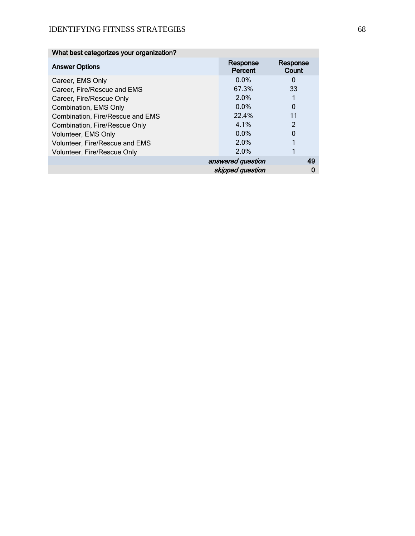| What best categorizes your organization? |                         |                   |
|------------------------------------------|-------------------------|-------------------|
| <b>Answer Options</b>                    | Response<br>Percent     | Response<br>Count |
| Career, EMS Only                         | 0.0%                    | 0                 |
| Career, Fire/Rescue and EMS              | 67.3%                   | 33                |
| Career, Fire/Rescue Only                 | 2.0%                    |                   |
| Combination, EMS Only                    | $0.0\%$                 | 0                 |
| Combination, Fire/Rescue and EMS         | 22.4%                   | 11                |
| Combination, Fire/Rescue Only            | 4.1%                    | 2                 |
| Volunteer, EMS Only                      | 0.0%                    | 0                 |
| Volunteer, Fire/Rescue and EMS           | 2.0%                    |                   |
| Volunteer, Fire/Rescue Only              | 2.0%                    |                   |
|                                          | 49<br>answered question |                   |
|                                          | skipped question<br>0   |                   |
|                                          |                         |                   |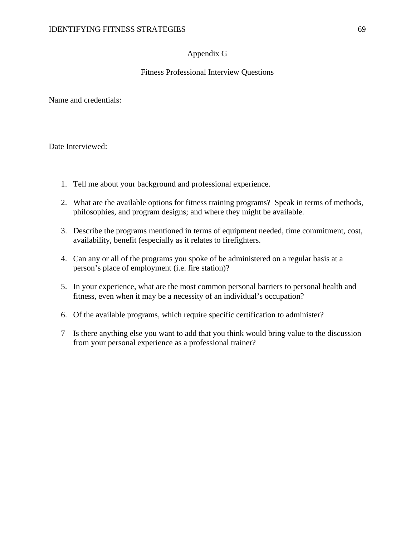## Appendix G

## Fitness Professional Interview Questions

Name and credentials:

Date Interviewed:

- 1. Tell me about your background and professional experience.
- 2. What are the available options for fitness training programs? Speak in terms of methods, philosophies, and program designs; and where they might be available.
- 3. Describe the programs mentioned in terms of equipment needed, time commitment, cost, availability, benefit (especially as it relates to firefighters.
- 4. Can any or all of the programs you spoke of be administered on a regular basis at a person's place of employment (i.e. fire station)?
- 5. In your experience, what are the most common personal barriers to personal health and fitness, even when it may be a necessity of an individual's occupation?
- 6. Of the available programs, which require specific certification to administer?
- 7 Is there anything else you want to add that you think would bring value to the discussion from your personal experience as a professional trainer?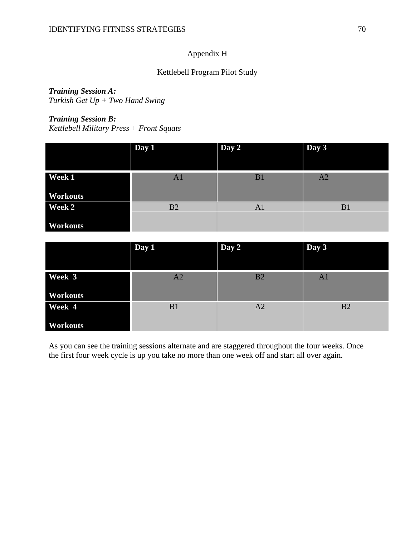# Appendix H

## Kettlebell Program Pilot Study

# *Training Session A:*

*Turkish Get Up + Two Hand Swing*

## *Training Session B:*

*Kettlebell Military Press + Front Squats*

|                 | Day 1          | Day 2          | Day 3          |
|-----------------|----------------|----------------|----------------|
| Week 1          | A <sub>1</sub> | B1             | A <sub>2</sub> |
| <b>Workouts</b> |                |                |                |
| Week 2          | B2             | A <sub>1</sub> | B <sub>1</sub> |
| <b>Workouts</b> |                |                |                |

|                 | Day 1 | Day 2          | Day 3          |
|-----------------|-------|----------------|----------------|
|                 |       |                |                |
| Week 3          | A2    | B2             | A <sub>1</sub> |
| <b>Workouts</b> |       |                |                |
| Week 4          | B1    | A <sub>2</sub> | B2             |
| <b>Workouts</b> |       |                |                |

As you can see the training sessions alternate and are staggered throughout the four weeks. Once the first four week cycle is up you take no more than one week off and start all over again.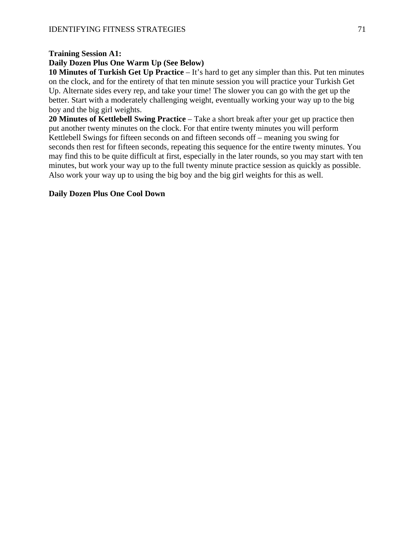## **Training Session A1:**

## **Daily Dozen Plus One Warm Up (See Below)**

**10 Minutes of Turkish Get Up Practice** – It's hard to get any simpler than this. Put ten minutes on the clock, and for the entirety of that ten minute session you will practice your Turkish Get Up. Alternate sides every rep, and take your time! The slower you can go with the get up the better. Start with a moderately challenging weight, eventually working your way up to the big boy and the big girl weights.

**20 Minutes of Kettlebell Swing Practice** – Take a short break after your get up practice then put another twenty minutes on the clock. For that entire twenty minutes you will perform Kettlebell Swings for fifteen seconds on and fifteen seconds off – meaning you swing for seconds then rest for fifteen seconds, repeating this sequence for the entire twenty minutes. You may find this to be quite difficult at first, especially in the later rounds, so you may start with ten minutes, but work your way up to the full twenty minute practice session as quickly as possible. Also work your way up to using the big boy and the big girl weights for this as well.

## **Daily Dozen Plus One Cool Down**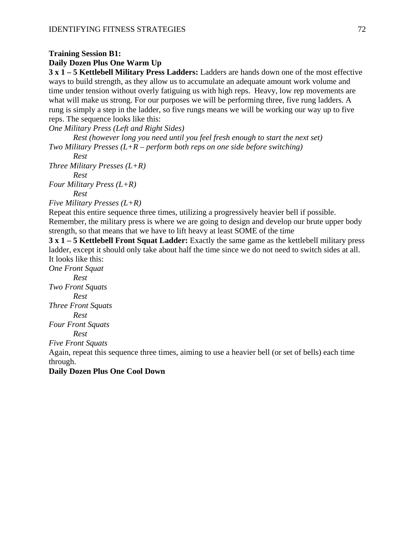## **Training Session B1:**

## **Daily Dozen Plus One Warm Up**

**3 x 1 – 5 Kettlebell Military Press Ladders:** Ladders are hands down one of the most effective ways to build strength, as they allow us to accumulate an adequate amount work volume and time under tension without overly fatiguing us with high reps. Heavy, low rep movements are what will make us strong. For our purposes we will be performing three, five rung ladders. A rung is simply a step in the ladder, so five rungs means we will be working our way up to five reps. The sequence looks like this:

*One Military Press (Left and Right Sides)*

*Rest (however long you need until you feel fresh enough to start the next set) Two Military Presses (L+R – perform both reps on one side before switching)*

*Rest*

*Three Military Presses (L+R) Rest*

*Four Military Press (L+R)*

*Rest*

*Five Military Presses (L+R)*

Repeat this entire sequence three times, utilizing a progressively heavier bell if possible. Remember, the military press is where we are going to design and develop our brute upper body strength, so that means that we have to lift heavy at least SOME of the time

**3 x 1 – 5 Kettlebell Front Squat Ladder:** Exactly the same game as the kettlebell military press ladder, except it should only take about half the time since we do not need to switch sides at all. It looks like this:

*One Front Squat Rest Two Front Squats Rest Three Front Squats Rest Four Front Squats Rest*

*Five Front Squats*

Again, repeat this sequence three times, aiming to use a heavier bell (or set of bells) each time through.

## **Daily Dozen Plus One Cool Down**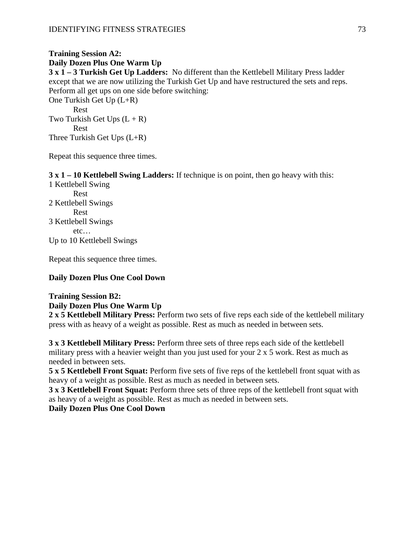#### **Training Session A2: Daily Dozen Plus One Warm Up**

**3 x 1 – 3 Turkish Get Up Ladders:** No different than the Kettlebell Military Press ladder except that we are now utilizing the Turkish Get Up and have restructured the sets and reps. Perform all get ups on one side before switching:

One Turkish Get Up (L+R) Rest Two Turkish Get Ups  $(L + R)$ Rest Three Turkish Get Ups (L+R)

Repeat this sequence three times.

**3 x 1 – 10 Kettlebell Swing Ladders:** If technique is on point, then go heavy with this:

1 Kettlebell Swing Rest 2 Kettlebell Swings Rest 3 Kettlebell Swings etc… Up to 10 Kettlebell Swings

Repeat this sequence three times.

#### **Daily Dozen Plus One Cool Down**

# **Training Session B2:**

**Daily Dozen Plus One Warm Up**

**2 x 5 Kettlebell Military Press:** Perform two sets of five reps each side of the kettlebell military press with as heavy of a weight as possible. Rest as much as needed in between sets.

**3 x 3 Kettlebell Military Press:** Perform three sets of three reps each side of the kettlebell military press with a heavier weight than you just used for your 2 x 5 work. Rest as much as needed in between sets.

**5 x 5 Kettlebell Front Squat:** Perform five sets of five reps of the kettlebell front squat with as heavy of a weight as possible. Rest as much as needed in between sets.

**3 x 3 Kettlebell Front Squat:** Perform three sets of three reps of the kettlebell front squat with as heavy of a weight as possible. Rest as much as needed in between sets.

#### **Daily Dozen Plus One Cool Down**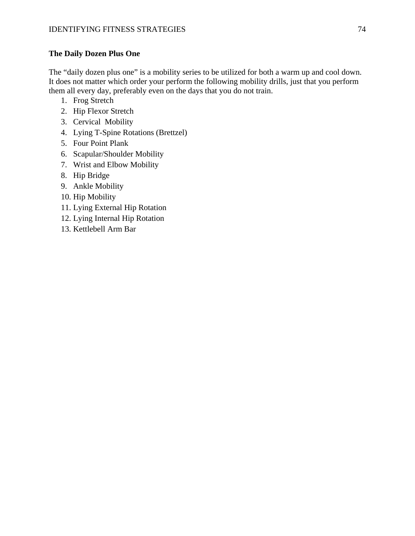#### **The Daily Dozen Plus One**

The "daily dozen plus one" is a mobility series to be utilized for both a warm up and cool down. It does not matter which order your perform the following mobility drills, just that you perform them all every day, preferably even on the days that you do not train.

- 1. Frog Stretch
- 2. Hip Flexor Stretch
- 3. Cervical Mobility
- 4. Lying T-Spine Rotations (Brettzel)
- 5. Four Point Plank
- 6. Scapular/Shoulder Mobility
- 7. Wrist and Elbow Mobility
- 8. Hip Bridge
- 9. Ankle Mobility
- 10. Hip Mobility
- 11. Lying External Hip Rotation
- 12. Lying Internal Hip Rotation
- 13. Kettlebell Arm Bar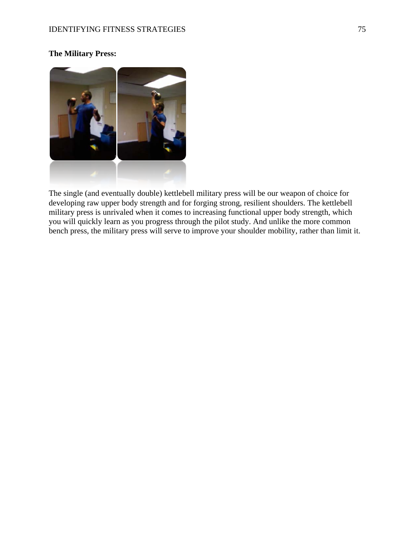# **The Military Press:**



The single (and eventually double) kettlebell military press will be our weapon of choice for developing raw upper body strength and for forging strong, resilient shoulders. The kettlebell military press is unrivaled when it comes to increasing functional upper body strength, which you will quickly learn as you progress through the pilot study. And unlike the more common bench press, the military press will serve to improve your shoulder mobility, rather than limit it.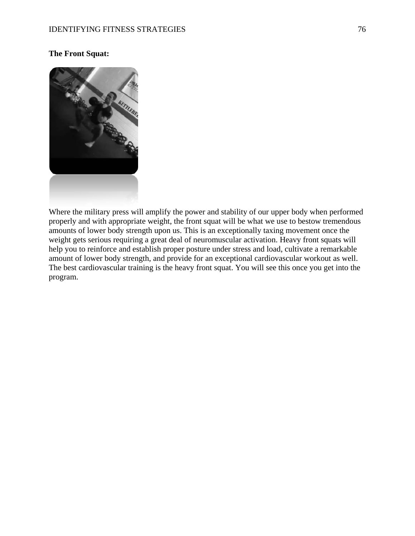#### **The Front Squat:**



Where the military press will amplify the power and stability of our upper body when performed properly and with appropriate weight, the front squat will be what we use to bestow tremendous amounts of lower body strength upon us. This is an exceptionally taxing movement once the weight gets serious requiring a great deal of neuromuscular activation. Heavy front squats will help you to reinforce and establish proper posture under stress and load, cultivate a remarkable amount of lower body strength, and provide for an exceptional cardiovascular workout as well. The best cardiovascular training is the heavy front squat. You will see this once you get into the program.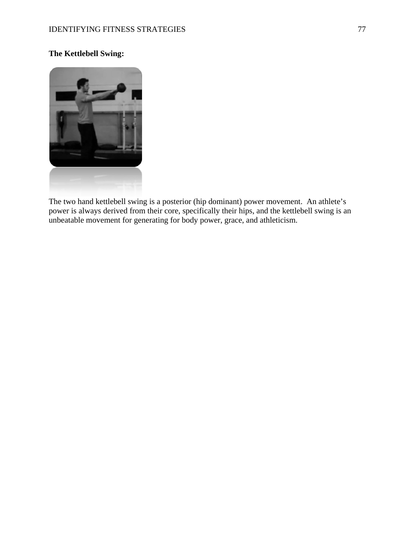## **The Kettlebell Swing:**



The two hand kettlebell swing is a posterior (hip dominant) power movement. An athlete's power is always derived from their core, specifically their hips, and the kettlebell swing is an unbeatable movement for generating for body power, grace, and athleticism.